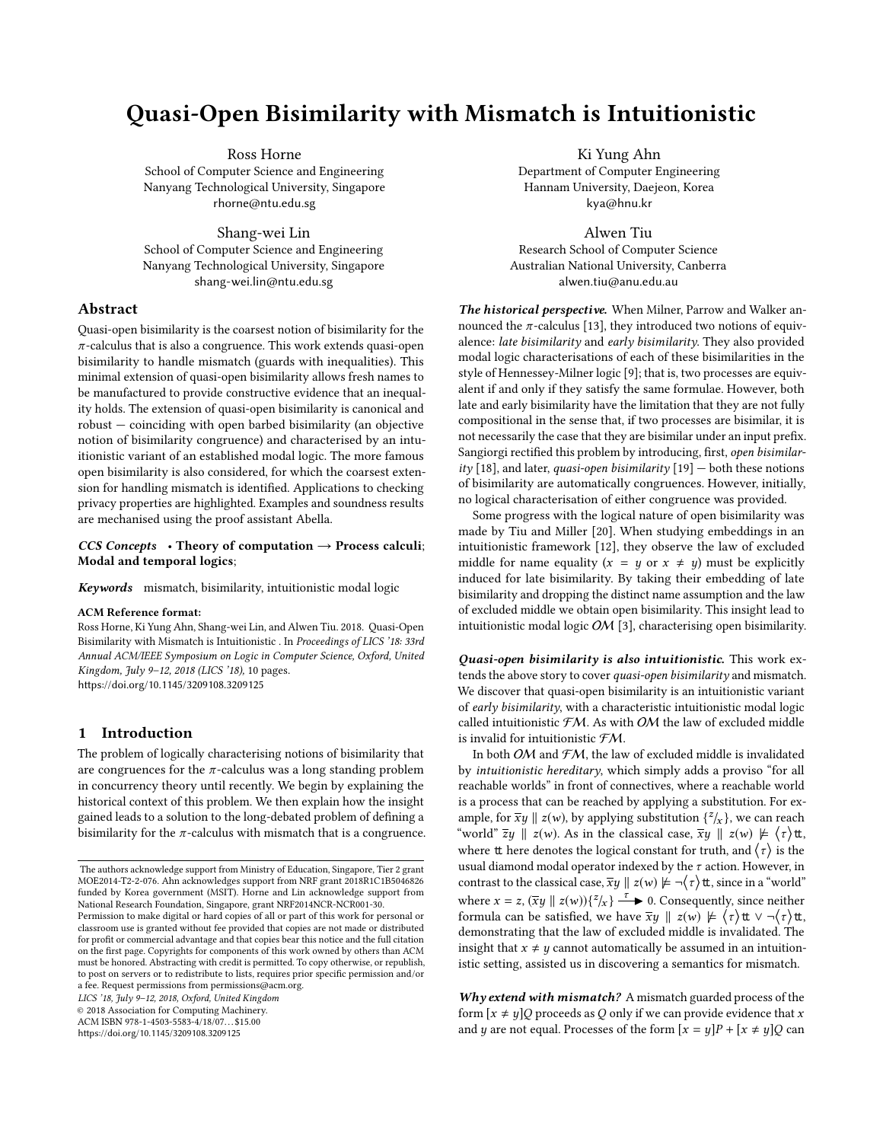# Quasi-Open Bisimilarity with Mismatch is Intuitionistic

Ross Horne School of Computer Science and Engineering Nanyang Technological University, Singapore rhorne@ntu.edu.sg

Shang-wei Lin School of Computer Science and Engineering Nanyang Technological University, Singapore shang-wei.lin@ntu.edu.sg

# Abstract

Quasi-open bisimilarity is the coarsest notion of bisimilarity for the  $\pi$ -calculus that is also a congruence. This work extends quasi-open bisimilarity to handle mismatch (guards with inequalities). This minimal extension of quasi-open bisimilarity allows fresh names to be manufactured to provide constructive evidence that an inequality holds. The extension of quasi-open bisimilarity is canonical and robust — coinciding with open barbed bisimilarity (an objective notion of bisimilarity congruence) and characterised by an intuitionistic variant of an established modal logic. The more famous open bisimilarity is also considered, for which the coarsest extension for handling mismatch is identified. Applications to checking privacy properties are highlighted. Examples and soundness results are mechanised using the proof assistant Abella.

# CCS Concepts • Theory of computation  $\rightarrow$  Process calculi; Modal and temporal logics;

Keywords mismatch, bisimilarity, intuitionistic modal logic

#### ACM Reference format:

Ross Horne, Ki Yung Ahn, Shang-wei Lin, and Alwen Tiu. 2018. Quasi-Open Bisimilarity with Mismatch is Intuitionistic . In Proceedings of LICS '18: 33rd Annual ACM/IEEE Symposium on Logic in Computer Science, Oxford, United Kingdom, July 9–12, 2018 (LICS '18), [10](#page-9-0) pages. <https://doi.org/10.1145/3209108.3209125>

# 1 Introduction

The problem of logically characterising notions of bisimilarity that are congruences for the  $\pi$ -calculus was a long standing problem in concurrency theory until recently. We begin by explaining the historical context of this problem. We then explain how the insight gained leads to a solution to the long-debated problem of defining a bisimilarity for the  $\pi$ -calculus with mismatch that is a congruence.

ACM ISBN 978-1-4503-5583-4/18/07. . . \$15.00

LICS '18, July 9–12, 2018, Oxford, United Kingdom

© 2018 Association for Computing Machinery.

<https://doi.org/10.1145/3209108.3209125>

Ki Yung Ahn Department of Computer Engineering Hannam University, Daejeon, Korea kya@hnu.kr

Alwen Tiu Research School of Computer Science Australian National University, Canberra alwen.tiu@anu.edu.au

The historical perspective. When Milner, Parrow and Walker announced the  $\pi$ -calculus [\[13\]](#page-9-1), they introduced two notions of equivalence: late bisimilarity and early bisimilarity. They also provided modal logic characterisations of each of these bisimilarities in the style of Hennessey-Milner logic [\[9\]](#page-9-2); that is, two processes are equivalent if and only if they satisfy the same formulae. However, both late and early bisimilarity have the limitation that they are not fully compositional in the sense that, if two processes are bisimilar, it is not necessarily the case that they are bisimilar under an input prefix. Sangiorgi rectified this problem by introducing, first, open bisimilar-ity [\[18\]](#page-9-3), and later, quasi-open bisimilarity [\[19\]](#page-9-4)  $-$  both these notions of bisimilarity are automatically congruences. However, initially, no logical characterisation of either congruence was provided.

Some progress with the logical nature of open bisimilarity was made by Tiu and Miller [\[20\]](#page-9-5). When studying embeddings in an intuitionistic framework [\[12\]](#page-9-6), they observe the law of excluded middle for name equality  $(x = y \text{ or } x \neq y)$  must be explicitly induced for late bisimilarity. By taking their embedding of late bisimilarity and dropping the distinct name assumption and the law of excluded middle we obtain open bisimilarity. This insight lead to intuitionistic modal logic OM [\[3\]](#page-9-7), characterising open bisimilarity.

Quasi-open bisimilarity is also intuitionistic. This work extends the above story to cover quasi-open bisimilarity and mismatch. We discover that quasi-open bisimilarity is an intuitionistic variant of early bisimilarity, with a characteristic intuitionistic modal logic called intuitionistic  $FM$ . As with  $OM$  the law of excluded middle is invalid for intuitionistic FM.

In both OM and  $\mathcal{FM}$ , the law of excluded middle is invalidated by intuitionistic hereditary, which simply adds a proviso "for all reachable worlds" in front of connectives, where a reachable world is a process that can be reached by applying a substitution. For example, for  $\overline{xy} \parallel z(w)$ , by applying substitution  $\binom{z}{x}$ , we can reach  $\lim_{z \to z} \frac{z(w)}{z(w)} \cdot \lim_{z \to z} \frac{z(w)}{z(w)} \cdot \lim_{z \to z} \frac{z(w)}{z(w)}$ "world"  $\overline{z}y \parallel z(w)$ . As in the classical case,  $\overline{xy} \parallel z(w) \not\models \langle \tau \rangle$ tt, where  $t$  here denotes the logical constant for truth, and  $\langle \tau \rangle$  is the usual diamond modal operator indexed by the  $\tau$  action. However, in contrast to the classical case,  $\overline{xy} \parallel z(w) \not\models \neg(\tau)$ tt, since in a "world" where  $x = z$ ,  $(\overline{xy} || z(w)) \{z/x\} \xrightarrow{\tau} 0$ . Consequently, since neither formula can be satisfied we have  $\overline{x}u || z(w) \nleftrightarrow (z) \uparrow + \sqrt{z} \uparrow + \sqrt{z} \uparrow +$ formula can be satisfied, we have  $\overline{x}y \parallel z(w) \not\models \langle \tau \rangle$ tt ∨ ¬ $\langle \tau \rangle$ tt, demonstrating that the law of excluded middle is invalidated. The insight that  $x \neq y$  cannot automatically be assumed in an intuitionistic setting, assisted us in discovering a semantics for mismatch.

 $Why extend with mismatch? A mismatch guarded process of the$ form  $[x \neq y]$ Q proceeds as Q only if we can provide evidence that x and y are not equal. Processes of the form  $[x = y]P + [x \neq y]Q$  can

The authors acknowledge support from Ministry of Education, Singapore, Tier 2 grant MOE2014-T2-2-076. Ahn acknowledges support from NRF grant 2018R1C1B5046826 funded by Korea government (MSIT). Horne and Lin acknowledge support from National Research Foundation, Singapore, grant NRF2014NCR-NCR001-30.

Permission to make digital or hard copies of all or part of this work for personal or classroom use is granted without fee provided that copies are not made or distributed for profit or commercial advantage and that copies bear this notice and the full citation on the first page. Copyrights for components of this work owned by others than ACM must be honored. Abstracting with credit is permitted. To copy otherwise, or republish, to post on servers or to redistribute to lists, requires prior specific permission and/or a fee. Request permissions from permissions@acm.org.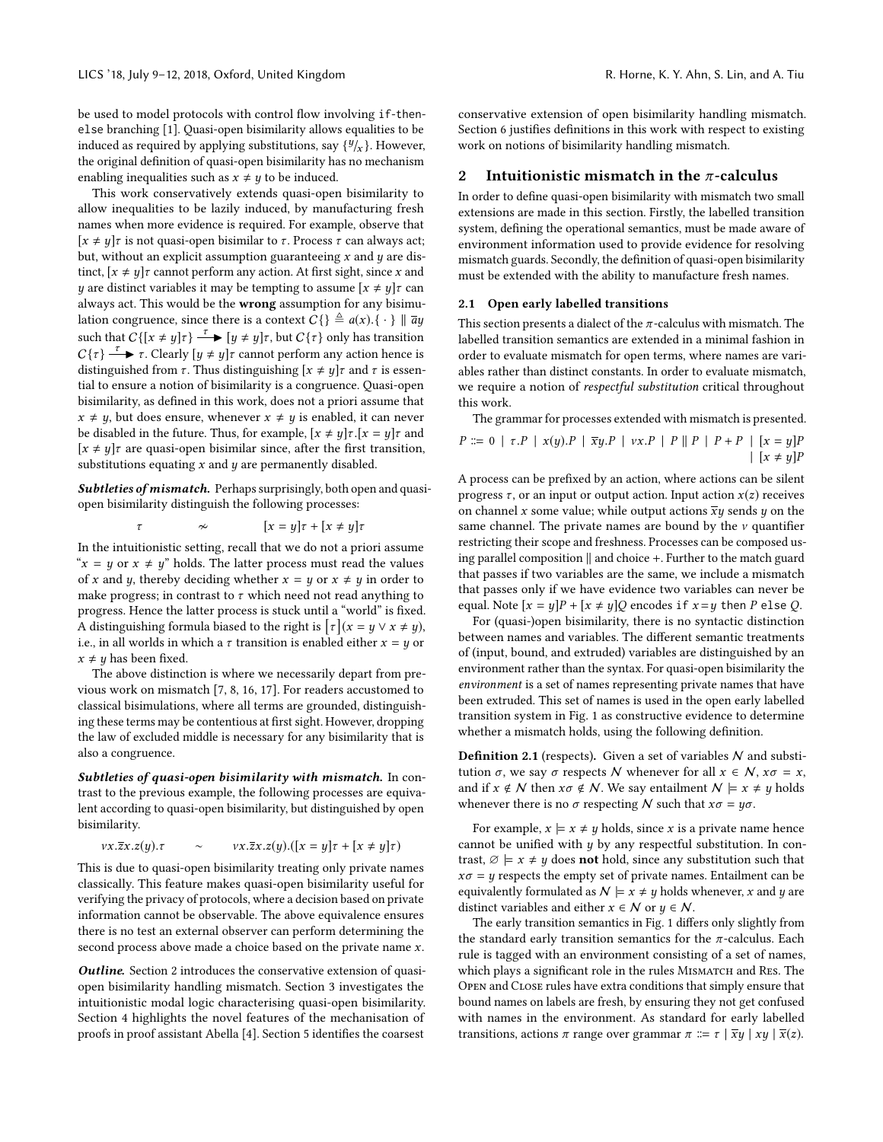be used to model protocols with control flow involving if-thenelse branching [\[1\]](#page-9-8). Quasi-open bisimilarity allows equalities to be induced as required by applying substitutions, say  $\{\frac{y}{x}\}$ . However, the original definition of quasi-open bisimilarity has no mechanism enabling inequalities such as  $x \neq y$  to be induced.

This work conservatively extends quasi-open bisimilarity to allow inequalities to be lazily induced, by manufacturing fresh names when more evidence is required. For example, observe that [ $x \neq y$ ] *τ* is not quasi-open bisimilar to *τ*. Process *τ* can always act; but, without an explicit assumption guaranteeing  $x$  and  $y$  are distinct,  $[x \neq y]\tau$  cannot perform any action. At first sight, since x and y are distinct variables it may be tempting to assume  $[x \neq y]\tau$  can always act. This would be the wrong assumption for any bisimulation congruence, since there is a context  $C\{\}\triangleq a(x).\{\cdot\}\parallel \overline{a}y$ such that  $C\{[x \neq y]\tau\} \xrightarrow{\tau} [y \neq y]\tau$ , but  $C\{\tau\}$  only has transition  $C\{\tau\} \stackrel{\tau}{\longrightarrow} \tau$ . Clearly  $[y \neq y]\tau$  cannot perform any action hence is distinguished from  $\tau$ . Thus distinguishing  $[x \neq y] \tau$  and  $\tau$  is essential to ensure a notion of bisimilarity is a congruence. Quasi-open bisimilarity, as defined in this work, does not a priori assume that  $x \neq y$ , but does ensure, whenever  $x \neq y$  is enabled, it can never be disabled in the future. Thus, for example,  $[x \neq y]\tau$ .  $[x = y]\tau$  and  $[x \neq y]\tau$  are quasi-open bisimilar since, after the first transition, substitutions equating  $x$  and  $y$  are permanently disabled.

Subtleties of mismatch. Perhaps surprisingly, both open and quasiopen bisimilarity distinguish the following processes:

$$
\tau \qquad \sim \qquad [x = y]\tau + [x \neq y]\tau
$$

In the intuitionistic setting, recall that we do not a priori assume " $x = y$  or  $x \neq y$ " holds. The latter process must read the values of x and y, thereby deciding whether  $x = y$  or  $x \neq y$  in order to make progress; in contrast to  $\tau$  which need not read anything to progress. Hence the latter process is stuck until a "world" is fixed. A distinguishing formula biased to the right is  $\lceil \tau \rceil$  ( $x = y \lor x \neq y$ ), i.e., in all worlds in which a  $\tau$  transition is enabled either  $x = y$  or  $x \neq y$  has been fixed.

The above distinction is where we necessarily depart from previous work on mismatch [\[7,](#page-9-9) [8,](#page-9-10) [16,](#page-9-11) [17\]](#page-9-12). For readers accustomed to classical bisimulations, where all terms are grounded, distinguishing these terms may be contentious at first sight. However, dropping the law of excluded middle is necessary for any bisimilarity that is also a congruence.

Subtleties of quasi-open bisimilarity with mismatch. In contrast to the previous example, the following processes are equivalent according to quasi-open bisimilarity, but distinguished by open bisimilarity.

$$
vx.\overline{z}x.z(y). \tau \qquad \sim \qquad vx.\overline{z}x.z(y).([x = y]\tau + [x \neq y]\tau)
$$

This is due to quasi-open bisimilarity treating only private names classically. This feature makes quasi-open bisimilarity useful for verifying the privacy of protocols, where a decision based on private information cannot be observable. The above equivalence ensures there is no test an external observer can perform determining the second process above made a choice based on the private name x.

**Outline.** Section [2](#page-1-0) introduces the conservative extension of quasiopen bisimilarity handling mismatch. Section [3](#page-3-0) investigates the intuitionistic modal logic characterising quasi-open bisimilarity. Section [4](#page-5-0) highlights the novel features of the mechanisation of proofs in proof assistant Abella [\[4\]](#page-9-13). Section [5](#page-7-0) identifies the coarsest

conservative extension of open bisimilarity handling mismatch. Section [6](#page-8-0) justifies definitions in this work with respect to existing work on notions of bisimilarity handling mismatch.

# <span id="page-1-0"></span>2 Intuitionistic mismatch in the  $\pi$ -calculus

In order to define quasi-open bisimilarity with mismatch two small extensions are made in this section. Firstly, the labelled transition system, defining the operational semantics, must be made aware of environment information used to provide evidence for resolving mismatch guards. Secondly, the definition of quasi-open bisimilarity must be extended with the ability to manufacture fresh names.

#### <span id="page-1-1"></span>2.1 Open early labelled transitions

This section presents a dialect of the  $\pi$ -calculus with mismatch. The labelled transition semantics are extended in a minimal fashion in order to evaluate mismatch for open terms, where names are variables rather than distinct constants. In order to evaluate mismatch, we require a notion of respectful substitution critical throughout this work.

The grammar for processes extended with mismatch is presented.

$$
P ::= 0 | \tau.P | x(y).P | \overline{x}y.P | v x.P | P || P | P + P | [x = y]P
$$
  
 | [x \neq y]P

A process can be prefixed by an action, where actions can be silent progress  $\tau$ , or an input or output action. Input action  $x(z)$  receives on channel x some value; while output actions  $\overline{x}y$  sends y on the same channel. The private names are bound by the  $\nu$  quantifier restricting their scope and freshness. Processes can be composed using parallel composition ∥ and choice +. Further to the match guard that passes if two variables are the same, we include a mismatch that passes only if we have evidence two variables can never be equal. Note  $[x = y]P + [x \neq y]Q$  encodes if  $x = y$  then P else Q.

For (quasi-)open bisimilarity, there is no syntactic distinction between names and variables. The different semantic treatments of (input, bound, and extruded) variables are distinguished by an environment rather than the syntax. For quasi-open bisimilarity the environment is a set of names representing private names that have been extruded. This set of names is used in the open early labelled transition system in Fig. [1](#page-2-0) as constructive evidence to determine whether a mismatch holds, using the following definition.

<span id="page-1-2"></span>**Definition 2.1** (respects). Given a set of variables  $N$  and substitution σ, we say σ respects N whenever for all  $x \in N$ ,  $x\sigma = x$ , and if  $x \notin N$  then  $x \notin N$ . We say entailment  $N \models x \neq y$  holds whenever there is no  $\sigma$  respecting N such that  $x\sigma = y\sigma$ .

For example,  $x \models x \neq y$  holds, since x is a private name hence cannot be unified with  $y$  by any respectful substitution. In contrast,  $\emptyset \models x \neq y$  does **not** hold, since any substitution such that  $x\sigma = y$  respects the empty set of private names. Entailment can be equivalently formulated as  $N \models x \neq y$  holds whenever, x and y are distinct variables and either  $x \in \mathcal{N}$  or  $y \in \mathcal{N}$ .

The early transition semantics in Fig. [1](#page-2-0) differs only slightly from the standard early transition semantics for the  $\pi$ -calculus. Each rule is tagged with an environment consisting of a set of names, which plays a significant role in the rules MISMATCH and RES. The Open and Close rules have extra conditions that simply ensure that bound names on labels are fresh, by ensuring they not get confused with names in the environment. As standard for early labelled transitions, actions  $\pi$  range over grammar  $\pi \equiv \tau | \overline{xy} | xy | \overline{x}(z)$ .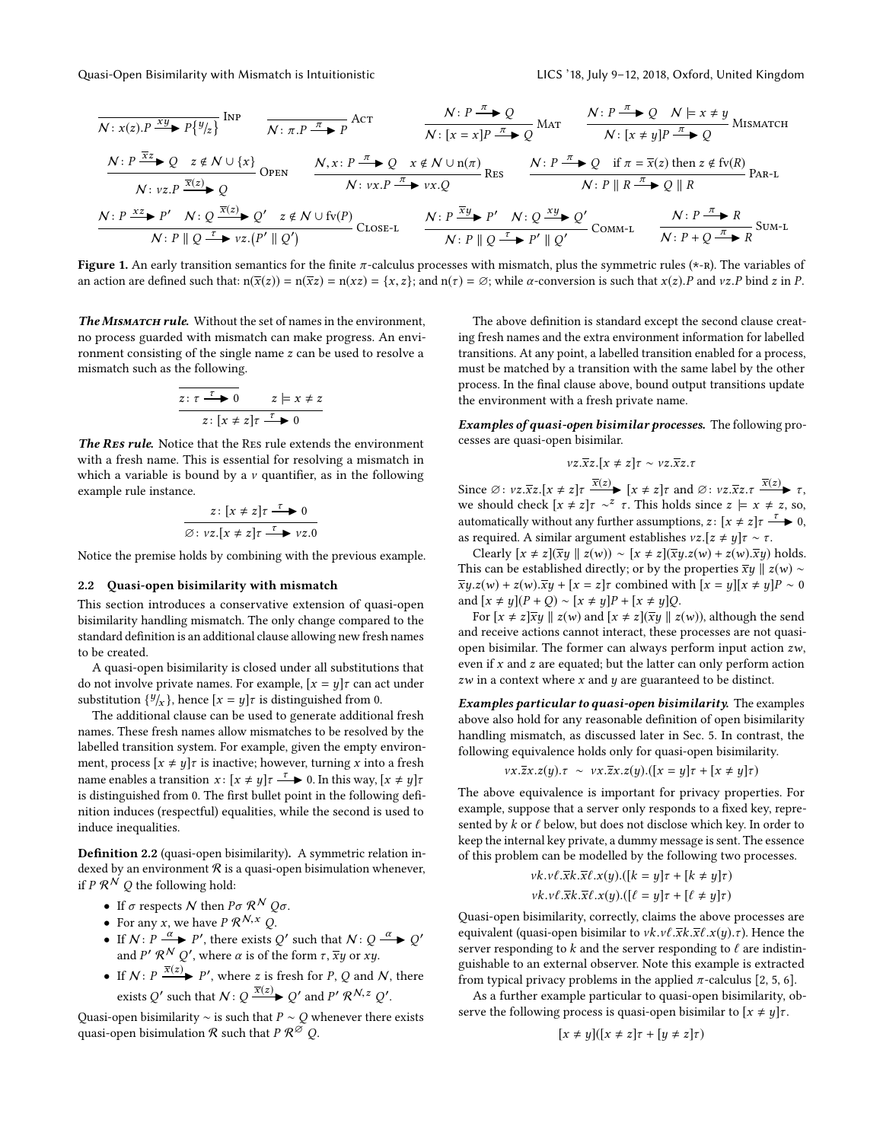<span id="page-2-0"></span>
$$
\frac{N: P \xrightarrow{\overline{x}} P\{y|z\}}{\begin{array}{c}\nN: P \xrightarrow{\overline{x}} P\{y|z\} \\
\hline\n\end{array}} \text{Inp} \quad\n\frac{N: P \xrightarrow{\pi} Q}{\begin{array}{c}\nN: P \xrightarrow{\pi} Q \\
\hline\n\end{array}} \text{AGT} \quad\n\frac{N: P \xrightarrow{\pi} Q}{\begin{array}{c}\nN: P \xrightarrow{\pi} Q \\
\hline\n\end{array}} \text{MAT} \quad\n\frac{N: P \xrightarrow{\pi} Q \quad N \models x \neq y \\
\hline\n\end{array}}{\begin{array}{c}\nN: P \xrightarrow{\overline{x}} Q \\
\hline\n\end{array}} \text{MISMATCH}
$$
\n
$$
\frac{N: P \xrightarrow{\overline{x}} Q \quad N: [x \neq y] P \xrightarrow{\pi} Q \\
\hline\n\end{array}} \text{MISMATCH}
$$
\n
$$
\frac{N: P \xrightarrow{\overline{x}} Q \quad \hline\n\end{array}}{\begin{array}{c}\nN: P \xrightarrow{\overline{x}} Q \\
\hline\n\end{array}} \text{OPEN} \quad\n\frac{N: P \xrightarrow{\pi} Q \quad x \notin N \cup n(\pi)}{N: y \times P \xrightarrow{\pi} y \times Q} \text{Res}
$$
\n
$$
\frac{N: P \xrightarrow{\pi} Q \quad \text{if } \pi = \overline{x}(z) \text{ then } z \notin fv(R)}{N: P \parallel R \xrightarrow{\pi} Q \parallel R} \text{PAR-L}
$$
\n
$$
\frac{N: P \xrightarrow{\overline{x}(z)} P \quad N: Q \xrightarrow{\overline{x}(z)} Q' \quad z \notin N \cup fv(P)}{\begin{array}{c}\nN: P \parallel Q' \end{array}} \text{Clos} \text{E-L} \quad\n\frac{N: P \xrightarrow{\overline{x}y} P'}{N: P \parallel Q \xrightarrow{\tau} P' \parallel Q'} \text{Comm-L} \quad\n\frac{N: P \xrightarrow{\pi} R}{N: P + Q \xrightarrow{\pi} R} \text{Sum-L}
$$

Figure 1. An early transition semantics for the finite  $\pi$ -calculus processes with mismatch, plus the symmetric rules (\*-R). The variables of an action are defined such that:  $n(\bar{x}(z)) = n(\bar{x}z) = n(xz) = \{x, z\}$ ; and  $n(\tau) = \emptyset$ ; while  $\alpha$ -conversion is such that  $x(z)$ . P and  $vz$ . P bind z in P.

The MISMATCH rule. Without the set of names in the environment, no process guarded with mismatch can make progress. An environment consisting of the single name z can be used to resolve a mismatch such as the following.

$$
\overline{z: \tau \xrightarrow{\tau} 0} \qquad z \models x \neq z
$$

$$
z: [x \neq z] \tau \xrightarrow{\tau} 0
$$

The RES rule. Notice that the RES rule extends the environment with a fresh name. This is essential for resolving a mismatch in which a variable is bound by a  $\nu$  quantifier, as in the following example rule instance.

$$
z: [x \neq z] \tau \xrightarrow{\tau} 0
$$
  

$$
\varnothing: vz.[x \neq z] \tau \xrightarrow{\tau} vz.0
$$

Notice the premise holds by combining with the previous example.

#### <span id="page-2-2"></span>2.2 Quasi-open bisimilarity with mismatch

This section introduces a conservative extension of quasi-open bisimilarity handling mismatch. The only change compared to the standard definition is an additional clause allowing new fresh names to be created.

A quasi-open bisimilarity is closed under all substitutions that do not involve private names. For example,  $[x = y]\tau$  can act under substitution  $\{y'_X\}$ , hence  $[x = y]$ r is distinguished from 0.<br>The edditional clause can be used to generate eddition

The additional clause can be used to generate additional fresh names. These fresh names allow mismatches to be resolved by the labelled transition system. For example, given the empty environment, process  $[x \neq y]$ *τ* is inactive; however, turning *x* into a fresh name enables a transition  $x \colon [x \neq y] \tau \xrightarrow{\tau} 0$ . In this way,  $[x \neq y] \tau$ is distinguished from 0. The first bullet point in the following definition induces (respectful) equalities, while the second is used to induce inequalities.

<span id="page-2-1"></span>Definition 2.2 (quasi-open bisimilarity). A symmetric relation indexed by an environment  $R$  is a quasi-open bisimulation whenever, if P  $\mathcal{R}^{\mathcal{N}}$  Q the following hold:

- If  $\sigma$  respects  $\mathcal N$  then  $P\sigma$   $\mathcal R^{\mathcal N}$   $Q\sigma$ .
- For any x, we have  $P \mathcal{R}^{N, x} Q$ .
- If  $N: P \xrightarrow{\alpha} P'$ , there exists Q' such that  $N: Q \xrightarrow{\alpha} Q'$ and P'  $\mathcal{R}^{\mathcal{N}}$  Q', where  $\alpha$  is of the form  $\tau$ ,  $\overline{x}y$  or  $xy$ .
- If  $N: P \xrightarrow{\overline{x}(z)} P'$ , where z is fresh for P, Q and N, there exists Q' such that  $N: Q \xrightarrow{\overline{x}(z)} Q'$  and  $P' \mathcal{R}^{N,z} Q'.$

Quasi-open bisimilarity  $\sim$  is such that  $P \sim Q$  whenever there exists quasi-open bisimulation  $\mathcal R$  such that  $P \mathcal{R}^{\widetilde{\mathcal{O}}}$  Q.

The above definition is standard except the second clause creating fresh names and the extra environment information for labelled transitions. At any point, a labelled transition enabled for a process, must be matched by a transition with the same label by the other process. In the final clause above, bound output transitions update the environment with a fresh private name.

Examples of quasi-open bisimilar processes. The following processes are quasi-open bisimilar.

$$
vz.\overline{x}z.[x \neq z]\tau \sim vz.\overline{x}z.\tau
$$

Since  $\emptyset$ :  $vz.\overline{x}z.[x \neq z]\tau \overline{x(z)}$  [ $x \neq z]\tau$  and  $\emptyset$ :  $vz.\overline{x}z.\tau \overline{x(z)}$   $\overline{x(z)}$   $\tau$ ,  $\tau$  and  $\emptyset$ :  $vz.\overline{x}z.\tau \overline{x(z)}$   $\tau$ ,  $\tau$ we should check  $[x \neq z] \tau \sim^{z} \tau$ . This holds since  $z \models x \neq z$ , so, automatically without any further assumptions,  $z \colon [x \neq z] \tau \xrightarrow{\tau} 0$ , as required. A similar argument establishes  $vz.[z \neq y]\tau \sim \tau$ .

Clearly  $[x \neq z](\overline{xy} \parallel z(w)) \sim [x \neq z](\overline{xy}.z(w) + z(w).\overline{xy})$  holds. This can be established directly; or by the properties  $\overline{x}y \parallel z(w) \sim$  $\overline{xy}.z(w) + z(w).\overline{xy} + [x = z]\tau$  combined with  $[x = y][x \neq y]P \sim 0$ and  $[x ≠ y](P + Q) ~$   $\sim [x ≠ y]P + [x ≠ y]Q$ .

For  $[x \neq z]\overline{xy} \parallel z(w)$  and  $[x \neq z](\overline{xy} \parallel z(w))$ , although the send and receive actions cannot interact, these processes are not quasiopen bisimilar. The former can always perform input action zw, even if  $x$  and  $z$  are equated; but the latter can only perform action  $zw$  in a context where  $x$  and  $y$  are guaranteed to be distinct.

Examples particular to quasi-open bisimilarity. The examples above also hold for any reasonable definition of open bisimilarity handling mismatch, as discussed later in Sec. [5.](#page-7-0) In contrast, the following equivalence holds only for quasi-open bisimilarity.

$$
vx.\overline{z}x.z(y). \tau \sim vx.\overline{z}x.z(y).([x = y]\tau + [x \neq y]\tau)
$$

The above equivalence is important for privacy properties. For example, suppose that a server only responds to a fixed key, represented by  $k$  or  $\ell$  below, but does not disclose which key. In order to keep the internal key private, a dummy message is sent. The essence of this problem can be modelled by the following two processes.

$$
\begin{aligned} &\nu k.\nu \ell.\overline{x}k.\overline{x} \ell.x(y).([k=y]\tau+[k\neq y]\tau)\\ &\nu k.\nu \ell.\overline{x}k.\overline{x} \ell.x(y).([ \ell=y]\tau+[ \ell\neq y]\tau) \end{aligned}
$$

Quasi-open bisimilarity, correctly, claims the above processes are equivalent (quasi-open bisimilar to  $vk.v\ell.\overline{x}k.\overline{x}\ell.x(y). \tau$ ). Hence the server responding to k and the server responding to  $\ell$  are indistinguishable to an external observer. Note this example is extracted from typical privacy problems in the applied  $\pi$ -calculus [\[2,](#page-9-14) [5,](#page-9-15) [6\]](#page-9-16).

As a further example particular to quasi-open bisimilarity, observe the following process is quasi-open bisimilar to  $[x \neq y]\tau$ .

$$
[x \neq y]([x \neq z]\tau + [y \neq z]\tau)
$$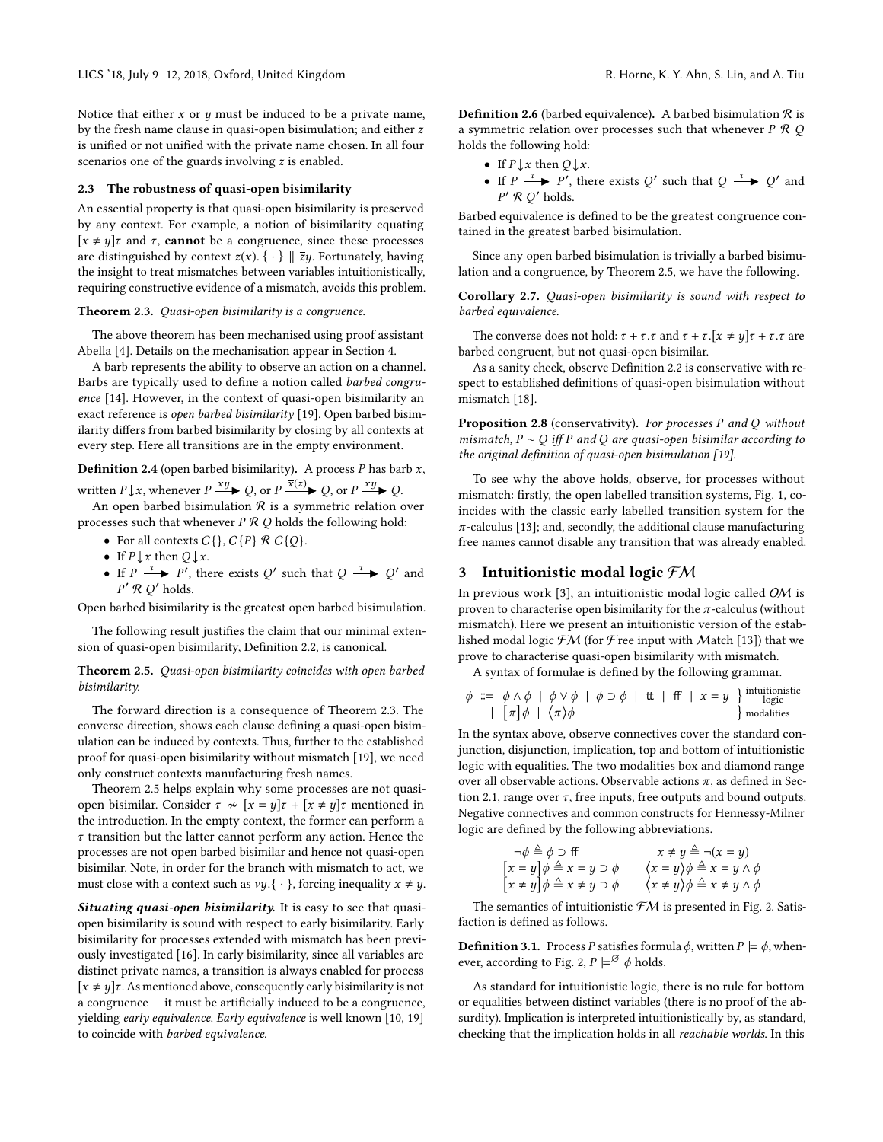Notice that either  $x$  or  $y$  must be induced to be a private name, by the fresh name clause in quasi-open bisimulation; and either z is unified or not unified with the private name chosen. In all four scenarios one of the guards involving z is enabled.

#### 2.3 The robustness of quasi-open bisimilarity

An essential property is that quasi-open bisimilarity is preserved by any context. For example, a notion of bisimilarity equating  $[x \neq y]\tau$  and  $\tau$ , **cannot** be a congruence, since these processes are distinguished by context  $z(x)$ . {  $\cdot$  }  $\parallel \overline{z}y$ . Fortunately, having the insight to treat mismatches between variables intuitionistically, requiring constructive evidence of a mismatch, avoids this problem.

#### <span id="page-3-1"></span>Theorem 2.3. Quasi-open bisimilarity is a congruence.

The above theorem has been mechanised using proof assistant Abella [\[4\]](#page-9-13). Details on the mechanisation appear in Section [4.](#page-5-0)

A barb represents the ability to observe an action on a channel. Barbs are typically used to define a notion called barbed congruence [\[14\]](#page-9-17). However, in the context of quasi-open bisimilarity an exact reference is open barbed bisimilarity [\[19\]](#page-9-4). Open barbed bisimilarity differs from barbed bisimilarity by closing by all contexts at every step. Here all transitions are in the empty environment.

<span id="page-3-3"></span>**Definition 2.4** (open barbed bisimilarity). A process  $P$  has barb  $x$ , written  $P \downarrow x$ , whenever  $P \xrightarrow{\overline{x}y} Q$ , or  $P \xrightarrow{\overline{x}(z)} Q$ , or  $P \xrightarrow{xy} Q$ .

An open barbed bisimulation  $\Re$  is a symmetric relation over processes such that whenever  $P \mathcal{R} Q$  holds the following hold:

- For all contexts  $C\{\}, C\{P\} \mathcal{R} C\{Q\}.$
- If  $P \downarrow x$  then  $Q \downarrow x$ .
- If  $P \xrightarrow{\tau} P'$ , there exists  $Q'$  such that  $Q \xrightarrow{\tau} Q'$  and  $P'$   $R$   $Q'$  holds.

Open barbed bisimilarity is the greatest open barbed bisimulation.

The following result justifies the claim that our minimal extension of quasi-open bisimilarity, Definition [2.2,](#page-2-1) is canonical.

<span id="page-3-2"></span>Theorem 2.5. Quasi-open bisimilarity coincides with open barbed bisimilarity.

The forward direction is a consequence of Theorem [2.3.](#page-3-1) The converse direction, shows each clause defining a quasi-open bisimulation can be induced by contexts. Thus, further to the established proof for quasi-open bisimilarity without mismatch [\[19\]](#page-9-4), we need only construct contexts manufacturing fresh names.

Theorem [2.5](#page-3-2) helps explain why some processes are not quasiopen bisimilar. Consider  $\tau \sim [x = y]\tau + [x \neq y]\tau$  mentioned in the introduction. In the empty context, the former can perform a  $\tau$  transition but the latter cannot perform any action. Hence the processes are not open barbed bisimilar and hence not quasi-open bisimilar. Note, in order for the branch with mismatch to act, we must close with a context such as  $vy.\{\cdot\}$ , forcing inequality  $x \neq y$ .

Situating quasi-open bisimilarity. It is easy to see that quasiopen bisimilarity is sound with respect to early bisimilarity. Early bisimilarity for processes extended with mismatch has been previously investigated [\[16\]](#page-9-11). In early bisimilarity, since all variables are distinct private names, a transition is always enabled for process  $[x \neq y]\tau$ . As mentioned above, consequently early bisimilarity is not a congruence — it must be artificially induced to be a congruence, yielding early equivalence. Early equivalence is well known [\[10,](#page-9-18) [19\]](#page-9-4) to coincide with barbed equivalence.

**Definition 2.6** (barbed equivalence). A barbed bisimulation  $\Re$  is a symmetric relation over processes such that whenever  $P \mathcal{R} Q$ holds the following hold:

- If  $P \downarrow x$  then  $Q \downarrow x$ .
- If  $P \xrightarrow{\tau} P'$ , there exists Q' such that  $Q \xrightarrow{\tau} Q'$  and  $P' \mathcal{R} \mathcal{Q}'$  holds.

Barbed equivalence is defined to be the greatest congruence contained in the greatest barbed bisimulation.

Since any open barbed bisimulation is trivially a barbed bisimulation and a congruence, by Theorem [2.5,](#page-3-2) we have the following.

<span id="page-3-4"></span>Corollary 2.7. Quasi-open bisimilarity is sound with respect to barbed equivalence.

The converse does not hold:  $\tau + \tau \cdot \tau$  and  $\tau + \tau \cdot [x \neq y] \tau + \tau \cdot \tau$  are barbed congruent, but not quasi-open bisimilar.

As a sanity check, observe Definition [2.2](#page-2-1) is conservative with respect to established definitions of quasi-open bisimulation without mismatch [\[18\]](#page-9-3).

**Proposition 2.8** (conservativity). For processes P and Q without mismatch,  $P \sim Q$  iff P and Q are quasi-open bisimilar according to the original definition of quasi-open bisimulation [\[19\]](#page-9-4).

To see why the above holds, observe, for processes without mismatch: firstly, the open labelled transition systems, Fig. [1,](#page-2-0) coincides with the classic early labelled transition system for the  $\pi$ -calculus [\[13\]](#page-9-1); and, secondly, the additional clause manufacturing free names cannot disable any transition that was already enabled.

#### <span id="page-3-0"></span>3 Intuitionistic modal logic  $FM$

In previous work [\[3\]](#page-9-7), an intuitionistic modal logic called OM is proven to characterise open bisimilarity for the  $\pi$ -calculus (without mismatch). Here we present an intuitionistic version of the established modal logic  $\mathcal{F}M$  (for  $\mathcal{F}$ ree input with Match [\[13\]](#page-9-1)) that we prove to characterise quasi-open bisimilarity with mismatch.

A syntax of formulae is defined by the following grammar.

$$
\phi ::= \phi \land \phi \mid \phi \lor \phi \mid \phi \supset \phi \mid \mathbf{t} \mid \mathbf{f} \mid x = y \}
$$
intuitionistic  
 
$$
\left\{ \begin{array}{c} \pi|\phi| \langle \pi \rangle \phi \end{array} \right\}
$$

In the syntax above, observe connectives cover the standard conjunction, disjunction, implication, top and bottom of intuitionistic logic with equalities. The two modalities box and diamond range over all observable actions. Observable actions  $\pi$ , as defined in Sec-tion [2.1,](#page-1-1) range over  $\tau$ , free inputs, free outputs and bound outputs. Negative connectives and common constructs for Hennessy-Milner logic are defined by the following abbreviations.

$$
\neg \phi \triangleq \phi \supset f f \qquad x \neq y \triangleq \neg (x = y)
$$
  
\n
$$
[x = y] \phi \triangleq x = y \supset \phi \qquad \langle x = y \rangle \phi \triangleq x = y \land \phi
$$
  
\n
$$
[x \neq y] \phi \triangleq x \neq y \supset \phi \qquad \langle x \neq y \rangle \phi \triangleq x \neq y \land \phi
$$

The semantics of intuitionistic  $\mathcal{F}M$  is presented in Fig. [2.](#page-4-0) Satisfaction is defined as follows.

**Definition 3.1.** Process P satisfies formula  $\phi$ , written  $P \models \phi$ , when-ever, according to Fig. [2,](#page-4-0)  $P \models^{\emptyset} \phi$  holds.

As standard for intuitionistic logic, there is no rule for bottom or equalities between distinct variables (there is no proof of the absurdity). Implication is interpreted intuitionistically by, as standard, checking that the implication holds in all reachable worlds. In this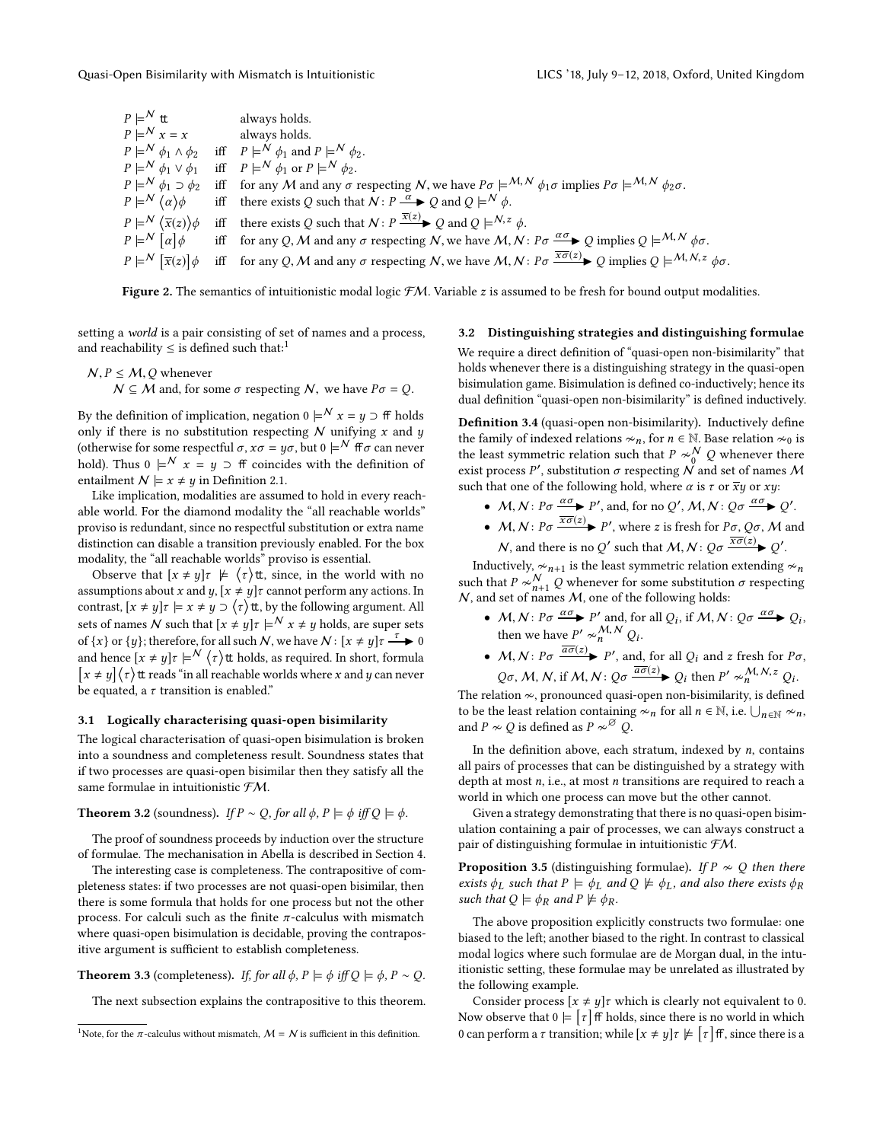<span id="page-4-0"></span>

| $P \models^{\mathcal{N}} \mathsf{t}$                           | always holds.                                                                                                                                                                                                                        |
|----------------------------------------------------------------|--------------------------------------------------------------------------------------------------------------------------------------------------------------------------------------------------------------------------------------|
| $P \models^{\mathcal{N}} x = x$                                | always holds.                                                                                                                                                                                                                        |
|                                                                | $P \models^{\mathcal{N}} \phi_1 \wedge \phi_2$ iff $P \models^{\mathcal{N}} \phi_1$ and $P \models^{\mathcal{N}} \phi_2$ .                                                                                                           |
| $P \models^{\mathcal{N}} \phi_1 \vee \phi_1$                   | iff $P \models^{\mathcal{N}} \phi_1$ or $P \models^{\mathcal{N}} \phi_2$ .                                                                                                                                                           |
|                                                                | $P \models^{\mathcal{N}} \phi_1 \supset \phi_2$ iff for any M and any $\sigma$ respecting N, we have $P\sigma \models^{\mathcal{M}, \mathcal{N}} \phi_1 \sigma$ implies $P\sigma \models^{\mathcal{M}, \mathcal{N}} \phi_2 \sigma$ . |
| $P \models^{\mathcal{N}} (\alpha) \phi$                        | iff there exists Q such that $N: P \xrightarrow{\alpha} Q$ and $Q \models^N \phi$ .                                                                                                                                                  |
| $P \models^{\mathcal{N}} \langle \overline{x}(z) \rangle \phi$ | iff there exists Q such that $N: P \xrightarrow{\overline{x}(z)} Q$ and $Q \models^{N, z} \phi$ .                                                                                                                                    |
| $P \models^{\mathcal{N}} [\alpha] \phi$                        | iff for any Q, M and any $\sigma$ respecting N, we have M, N: $P\sigma \xrightarrow{\alpha \sigma} Q$ implies $Q \models^{M,N} \phi \sigma$ .                                                                                        |
| $P \models^{\mathcal{N}} [\overline{x}(z)] \phi$               | iff for any Q, M and any $\sigma$ respecting N, we have M, N: $P\sigma \frac{\overline{x\sigma(z)}}{\sigma}$ Q implies $Q \models^{M, N, z} \phi \sigma$ .                                                                           |
|                                                                |                                                                                                                                                                                                                                      |

Figure 2. The semantics of intuitionistic modal logic  $FM$ . Variable z is assumed to be fresh for bound output modalities.

setting a world is a pair consisting of set of names and a process, and reachability  $\leq$  is defined such that:<sup>[1](#page-4-1)</sup>

$$
N, P \le M, Q
$$
 whenever  
\n $N \subseteq M$  and, for some  $\sigma$  respectively. We have  $P\sigma = Q$ .

By the definition of implication, negation 0  $\models^{\mathcal{N}} x = y \supset \mathsf{ff}$  holds only if there is no substitution respecting  $N$  unifying  $x$  and  $y$ (otherwise for some respectful  $\sigma$ ,  $x\sigma = y\sigma$ , but  $0 \models^{\mathcal{N}}$  ff  $\sigma$  can never hold). Thus  $0 \models^{\mathcal{N}} x = y \supset \mathsf{ff}$  coincides with the definition of entailment  $\mathcal{N} \models x \neq y$  in Definition [2.1.](#page-1-2)

Like implication, modalities are assumed to hold in every reachable world. For the diamond modality the "all reachable worlds" proviso is redundant, since no respectful substitution or extra name distinction can disable a transition previously enabled. For the box modality, the "all reachable worlds" proviso is essential.

Observe that  $[x \neq y] \tau \not\models \langle \tau \rangle$ tt, since, in the world with no assumptions about x and y,  $[x \neq y]$  cannot perform any actions. In contrast,  $[x \neq y]$  $\tau \models x \neq y \supset (\tau)$ tt, by the following argument. All sets of names  $N$  such that  $[x \neq y]$  $\tau \models^{\mathcal{N}} x \neq y$  holds, are super sets of  $\{x\}$  or  $\{y\}$ ; therefore, for all such N, we have  $\mathcal{N} \colon [x \neq y]$   $\tau \xrightarrow{\tau} 0$ and hence  $[x \neq y]$ r  $\models^{\mathcal{N}} \langle \tau \rangle$ tt holds, as required. In short, formula  $\left[x \neq y\right]$  $\left\langle \tau \right\rangle$ tt reads "in all reachable worlds where x and y can never be equated, a  $\tau$  transition is enabled."

#### 3.1 Logically characterising quasi-open bisimilarity

The logical characterisation of quasi-open bisimulation is broken into a soundness and completeness result. Soundness states that if two processes are quasi-open bisimilar then they satisfy all the same formulae in intuitionistic FM.

### <span id="page-4-3"></span>**Theorem 3.2** (soundness). If  $P \sim Q$ , for all  $\phi$ ,  $P \models \phi$  iff  $Q \models \phi$ .

The proof of soundness proceeds by induction over the structure of formulae. The mechanisation in Abella is described in Section [4.](#page-5-0)

The interesting case is completeness. The contrapositive of completeness states: if two processes are not quasi-open bisimilar, then there is some formula that holds for one process but not the other process. For calculi such as the finite  $\pi$ -calculus with mismatch where quasi-open bisimulation is decidable, proving the contrapositive argument is sufficient to establish completeness.

<span id="page-4-4"></span>**Theorem 3.3** (completeness). If, for all  $\phi$ ,  $P \models \phi$  iff  $Q \models \phi$ ,  $P \sim Q$ .

The next subsection explains the contrapositive to this theorem.

#### 3.2 Distinguishing strategies and distinguishing formulae

We require a direct definition of "quasi-open non-bisimilarity" that holds whenever there is a distinguishing strategy in the quasi-open bisimulation game. Bisimulation is defined co-inductively; hence its dual definition "quasi-open non-bisimilarity" is defined inductively.

Definition 3.4 (quasi-open non-bisimilarity). Inductively define the family of indexed relations  $\infty$ n, for  $n \in \mathbb{N}$ . Base relation  $\infty$ 0 is<br>the locat symmetric relation such that  $P_{\alpha}$  is  $\mathcal{N}$  O whenever there the least symmetric relation such that  $P \sim_0^N Q$  whenever there exist process  $P'$ , substitution  $\sigma$  respecting  $\mathcal N$  and set of names  $\mathcal M$ such that one of the following hold, where  $\alpha$  is  $\tau$  or  $\overline{xy}$  or  $xy$ :

- $M, N: P\sigma \xrightarrow{\alpha \sigma} P'$ , and, for no  $Q', M, N: Q\sigma \xrightarrow{\alpha \sigma} Q'$ .
- $M, N: P\sigma \frac{\overline{x\sigma}(z)}{\sigma}$  P', where z is fresh for  $P\sigma, Q\sigma, M$  and N, and there is no Q' such that  $M, N: Q\sigma \xrightarrow{\overline{x\sigma(z)}} Q'$ .

Inductively,  $\sim_{n+1}$  is the least symmetric relation extending  $\sim_n$ <br>the that  $R \sim N$  . O whomever for some substitution  $\sigma$  respective such that  $P \sim_{n+1}^N Q$  whenever for some substitution  $\sigma$  respecting <br>*N*, and set of names *M*, one of the following holds:  $N$ , and set of names  $M$ , one of the following holds:

- $M, N: P\sigma \xrightarrow{\alpha \sigma} P'$  and, for all  $Q_i$ , if  $M, N: Q\sigma \xrightarrow{\alpha \sigma} Q_i$ ,<br>then and have  $P'$ ,  $M, N, Q$ then we have  $P' \sim_n^{M,N} Q_i$ .
- $M, N: P\sigma \xrightarrow{\overline{a\sigma}(z)} P'$ , and, for all  $Q_i$  and z fresh for  $P\sigma$ ,  $Q\sigma$ , M, N, if M, N:  $Q\sigma \frac{\overline{a}\sigma(z)}{Q}$ ,  $Q_i$  then P'  $\sim_{n}^{M, N, z} Q_i$ .

The relation ≁, pronounced quasi-open non-bisimilarity, is defined to be the least relation containing  $\propto_n$  for all  $n \in \mathbb{N}$ , i.e.  $\bigcup_{n \in \mathbb{N}} \infty_n$ , and  $P \nsim Q$  is defined as  $P \nsim^{\emptyset} Q$ .

In the definition above, each stratum, indexed by  $n$ , contains all pairs of processes that can be distinguished by a strategy with depth at most  $n$ , i.e., at most  $n$  transitions are required to reach a world in which one process can move but the other cannot.

Given a strategy demonstrating that there is no quasi-open bisimulation containing a pair of processes, we can always construct a pair of distinguishing formulae in intuitionistic FM.

<span id="page-4-2"></span>**Proposition 3.5** (distinguishing formulae). If  $P \nsim Q$  then there exists  $\phi_L$  such that  $P \models \phi_L$  and  $Q \not\models \phi_L$ , and also there exists  $\phi_R$ such that  $Q \models \phi_R$  and  $P \not\models \phi_R$ .

The above proposition explicitly constructs two formulae: one biased to the left; another biased to the right. In contrast to classical modal logics where such formulae are de Morgan dual, in the intuitionistic setting, these formulae may be unrelated as illustrated by the following example.

Consider process  $[x \neq y]$ *t* which is clearly not equivalent to 0. Now observe that  $0 \models [\tau]$  if holds, since there is no world in which 0 can perform a  $\tau$  transition; while  $[x \neq y] \tau \not\models [\tau]$  ff, since there is a

<span id="page-4-1"></span><sup>&</sup>lt;sup>1</sup>Note, for the  $\pi$ -calculus without mismatch,  $M = N$  is sufficient in this definition.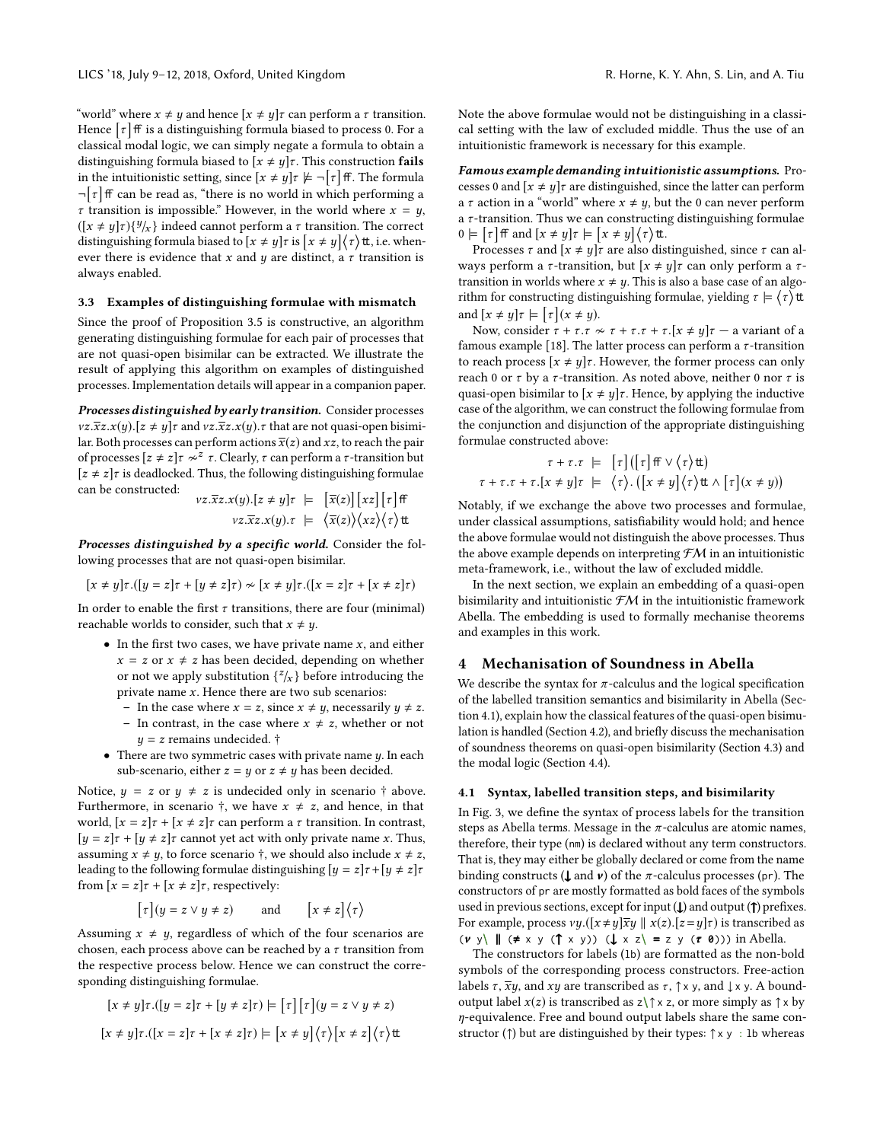"world" where  $x \neq y$  and hence  $[x \neq y]$   $\tau$  can perform a  $\tau$  transition. Hence  $\lceil \tau \rceil$  ff is a distinguishing formula biased to process 0. For a classical modal logic, we can simply negate a formula to obtain a distinguishing formula biased to  $[x \neq y]\tau$ . This construction fails in the intuitionistic setting, since  $[x \neq y] \tau \not\models \neg \lceil \tau \rceil$  ff. The formula  $\neg \lceil \tau \rceil$  ff can be read as, "there is no world in which performing a  $\tau$  transition is impossible." However, in the world where  $x = y$ ,  $([x \neq y]\tau)\{y/x\}$  indeed cannot perform a  $\tau$  transition. The correct<br>distinguishing formula biased to  $[x + \mu x]$  is  $[x + \mu x]$   $(x + \mu x)$ distinguishing formula biased to  $[x \neq y] \tau$  is  $[x \neq y] \langle \tau \rangle$ tt, i.e. whenever there is evidence that x and y are distinct, a  $\tau$  transition is always enabled.

# 3.3 Examples of distinguishing formulae with mismatch

Since the proof of Proposition [3.5](#page-4-2) is constructive, an algorithm generating distinguishing formulae for each pair of processes that are not quasi-open bisimilar can be extracted. We illustrate the result of applying this algorithm on examples of distinguished processes. Implementation details will appear in a companion paper.

Processes distinguished by early transition. Consider processes  $vz.\overline{x}z.x(y).[z \neq y]\tau$  and  $vz.\overline{x}z.x(y). \tau$  that are not quasi-open bisimilar. Both processes can perform actions  $\overline{x}(z)$  and xz, to reach the pair of processes  $[z \neq z]$ τ $\sim$ <sup>z</sup> τ. Clearly, τ can perform a τ-transition but  $[z \neq z]\tau$  is deadlocked. Thus, the following distinguishing formulae can be constructed:

$$
\begin{array}{rcl}\n\text{vz}.\overline{x}z.x(y).[z \neq y]\tau & \models & [\overline{x}(z)][xz][\tau]\,\text{ff} \\
& \text{vz}.\overline{x}z.x(y).\tau & \models & \langle \overline{x}(z)\rangle \langle xz\rangle \langle \tau \rangle \text{tt}\n\end{array}
$$

Processes distinguished by a specific world. Consider the following processes that are not quasi-open bisimilar.

$$
[x \neq y]\tau.([y = z]\tau + [y \neq z]\tau) \approx [x \neq y]\tau.([x = z]\tau + [x \neq z]\tau)
$$

In order to enable the first  $\tau$  transitions, there are four (minimal) reachable worlds to consider, such that  $x \neq y$ .

- $\bullet~$  In the first two cases, we have private name  $x,$  and either  $x = z$  or  $x \neq z$  has been decided, depending on whether or not we apply substitution  $\{z'_x\}$  before introducing the private name x. Hence there are two sub scenarios:
	- In the case where  $x = z$ , since  $x \neq y$ , necessarily  $y \neq z$ .
	- In contrast, in the case where  $x \neq z$ , whether or not  $y = z$  remains undecided.  $\dagger$
- There are two symmetric cases with private name  $y$ . In each sub-scenario, either  $z = y$  or  $z \neq y$  has been decided.

Notice,  $y = z$  or  $y \neq z$  is undecided only in scenario  $\dagger$  above. Furthermore, in scenario  $\dagger$ , we have  $x \neq z$ , and hence, in that world,  $[x = z] \tau + [x \neq z] \tau$  can perform a  $\tau$  transition. In contrast,  $[y = z]\tau + [y \neq z]\tau$  cannot yet act with only private name x. Thus, assuming  $x \neq y$ , to force scenario  $\dagger$ , we should also include  $x \neq z$ , leading to the following formulae distinguishing  $[y = z] \tau + [y \neq z] \tau$ from  $[x = z] \tau + [x \neq z] \tau$ , respectively:

$$
\lceil \tau \rceil (y = z \lor y \neq z) \qquad \text{and} \qquad \lceil x \neq z \rceil \langle \tau \rangle
$$

Assuming  $x \neq y$ , regardless of which of the four scenarios are chosen, each process above can be reached by a  $\tau$  transition from the respective process below. Hence we can construct the corresponding distinguishing formulae.

$$
[x \neq y]\tau.([y = z]\tau + [y \neq z]\tau) \models [\tau][\tau](y = z \lor y \neq z)
$$

$$
[x \neq y]\tau.([x = z]\tau + [x \neq z]\tau) \models [x \neq y](\tau)[x \neq z](\tau) \text{tt}
$$

Note the above formulae would not be distinguishing in a classical setting with the law of excluded middle. Thus the use of an intuitionistic framework is necessary for this example.

Famous example demanding intuitionistic assumptions. Processes 0 and  $[x \neq y]\tau$  are distinguished, since the latter can perform a  $\tau$  action in a "world" where  $x \neq y$ , but the 0 can never perform a  $\tau$ -transition. Thus we can constructing distinguishing formulae  $0 \models [\tau]$  iff and  $[x \neq y]$   $\tau \models [x \neq y] \langle \tau \rangle$  it.

Processes  $\tau$  and  $[x \neq y]\tau$  are also distinguished, since  $\tau$  can always perform a  $\tau$ -transition, but  $[x \neq y] \tau$  can only perform a  $\tau$ transition in worlds where  $x \neq y$ . This is also a base case of an algorithm for constructing distinguishing formulae, yielding  $\tau \models \langle \tau \rangle$ tt and  $[x \neq y] \tau \models [\tau](x \neq y)$ .

Now, consider  $\tau + \tau \cdot \tau \approx \tau + \tau \cdot \tau + \tau \cdot [x \neq y]\tau$  – a variant of a famous example [\[18\]](#page-9-3). The latter process can perform a  $\tau$ -transition to reach process  $[x \neq y]$ *τ*. However, the former process can only reach 0 or  $\tau$  by a  $\tau$ -transition. As noted above, neither 0 nor  $\tau$  is quasi-open bisimilar to  $[x \neq y]$ r. Hence, by applying the inductive case of the algorithm, we can construct the following formulae from the conjunction and disjunction of the appropriate distinguishing formulae constructed above:

$$
\tau + \tau \cdot \tau \models [\tau] ([\tau] \text{ ff} \vee \langle \tau \rangle \text{tt})
$$
  

$$
\tau + \tau \cdot \tau + \tau \cdot [x \neq y] \tau \models \langle \tau \rangle \cdot ([x \neq y] \langle \tau \rangle \text{tt} \wedge [\tau] (x \neq y))
$$

Notably, if we exchange the above two processes and formulae, under classical assumptions, satisfiability would hold; and hence the above formulae would not distinguish the above processes. Thus the above example depends on interpreting  $\mathcal{F}M$  in an intuitionistic meta-framework, i.e., without the law of excluded middle.

In the next section, we explain an embedding of a quasi-open bisimilarity and intuitionistic  $f$ M in the intuitionistic framework Abella. The embedding is used to formally mechanise theorems and examples in this work.

#### <span id="page-5-0"></span>4 Mechanisation of Soundness in Abella

We describe the syntax for  $\pi$ -calculus and the logical specification of the labelled transition semantics and bisimilarity in Abella (Section [4.1\)](#page-5-1), explain how the classical features of the quasi-open bisimulation is handled (Section [4.2\)](#page-6-0), and briefly discuss the mechanisation of soundness theorems on quasi-open bisimilarity (Section [4.3\)](#page-6-1) and the modal logic (Section [4.4\)](#page-7-1).

### <span id="page-5-1"></span>4.1 Syntax, labelled transition steps, and bisimilarity

In Fig. [3,](#page-6-2) we define the syntax of process labels for the transition steps as Abella terms. Message in the  $\pi$ -calculus are atomic names, therefore, their type (nm) is declared without any term constructors. That is, they may either be globally declared or come from the name binding constructs ( $\bf{l}$  and  $\nu$ ) of the  $\pi$ -calculus processes (pr). The constructors of pr are mostly formatted as bold faces of the symbols used in previous sections, except for input  $(\downarrow)$  and output  $(\uparrow)$  prefixes. For example, process  $vy.([x \neq y]\overline{x}y \mid x(z).[z = y]\tau)$  is transcribed as  $(v \, y) \parallel (\neq x \, y \, (\uparrow x \, y)) \, (\downarrow x \, z) = z \, y \, (\tau \, \emptyset))$ ) in Abella.

The constructors for labels (lb) are formatted as the non-bold symbols of the corresponding process constructors. Free-action labels  $\tau$ ,  $\overline{x}y$ , and  $xy$  are transcribed as  $\tau$ ,  $\uparrow$  x y, and  $\downarrow$  x y. A boundoutput label  $x(z)$  is transcribed as  $z \uparrow \uparrow x$  z, or more simply as  $\uparrow x$  by η-equivalence. Free and bound output labels share the same constructor ( $\uparrow$ ) but are distinguished by their types:  $\uparrow$  x y : 1b whereas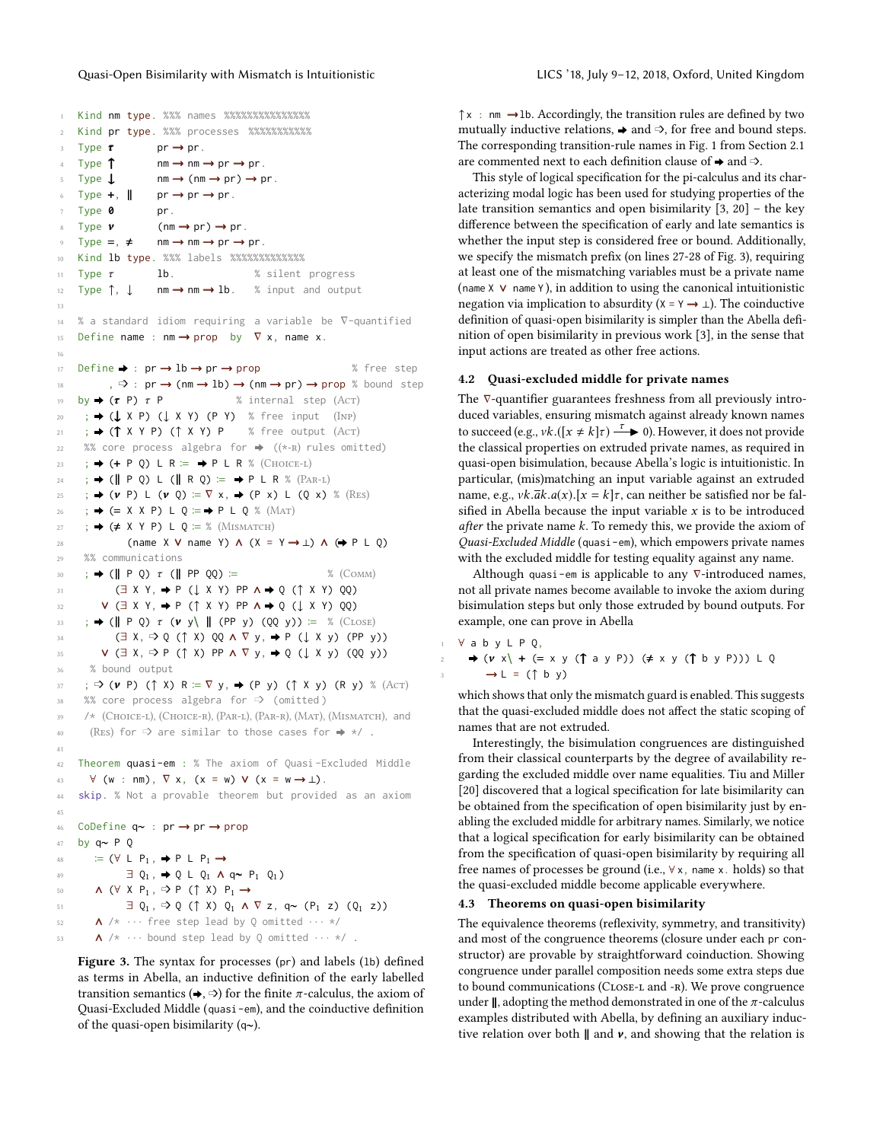```
1 Kind nm type. %%% names %%%%%%%%%%%%%%%
2 Kind pr type. %%% processes %%%%%%%%%%%
      Type \tau pr \rightarrow pr.<br>Type \uparrow nm \rightarrow nm.
                              nm \rightarrow nm \rightarrow pr \rightarrow pr.
      Type \perp nm \rightarrow (nm \rightarrow pr) \rightarrow pr.
      Type +, \parallel pr \rightarrow pr \rightarrow pr.
      Type 0 pr.
      Type v (nm \rightarrow pr) \rightarrow pr.<br>Type =, \neq nm \rightarrow nm \rightarrow pr \rightarrownm \rightarrow nm \rightarrow pr \rightarrow pr.
10 Kind lb type. %%% labels %%%%%%%%%%%%%
11 Type 7 lb. % silent progress<br>12 Type 1, 1 mm \rightarrow nm \rightarrow lb. % input and outpu
                                                           % input and output
13
14 % a standard idiom requiring a variable be ∇-quantified
15 Define name : nm \rightarrow prop by \nabla x, name x.
16
17 Define \rightarrow : pr \rightarrow lb \rightarrow pr \rightarrow prop % free step
18, \Rightarrow : pr \rightarrow (nm \rightarrow lb) \rightarrow (nm \rightarrow pr) \rightarrow prop % bound step
19 by \rightarrow (\tau P) \tau P \% internal step (Acr)<br>20 ; \rightarrow (\downarrow X P) (\downarrow X Y) (P Y) % free input (INP)
21 ; \rightarrow (↑ X Y P) (↑ X Y) P % free output (Act)
22 %% core process algebra for \rightarrow ((*-R) rules omitted)
23 ; \Rightarrow (+ P Q) L R = \Rightarrow P L R % (CHOICE-L)
24 ; \rightarrow (|| P Q) L (|| R Q) \coloneqq \rightarrow P L R % (PAR-L)
25 ; \rightarrow (v P) L (v Q) := \nabla \times, \rightarrow (P x) L (Q x) % (RES)<br>
26 ; \rightarrow (= X X P) L 0 := \rightarrow P L 0 % (MAT)
        ;\Rightarrow (= X X P) L Q \vcentcolon= \Rightarrow P L Q % (MAT)
27 ; \rightarrow (\neq X Y P) L Q := % (MISMATCH)
28 (name X V name Y) \Lambda (X = Y \rightarrow \perp) \Lambda (\rightarrow P L Q)
29 %% communications
30 ; \rightarrow (\parallel P Q) \tau (\parallel PP QQ) := % (COMM)<br>31 (\exists X Y, \rightarrow P (\perp X Y) PP A \rightarrow 0 (\uparrow X Y) 00)
                 31 (∃ X Y, ▶ P (↓ X Y) PP ∧ ▶ Q (↑ X Y) QQ)
32 V (\exists X Y, \Rightarrow P (\uparrow X Y) PP \Lambda \Rightarrow 0 (\downarrow X Y) 00)
\begin{array}{ccc} \mathbf{33} & ; \Rightarrow (\mathbf{||} \mathsf{P} \mathsf{Q}) \tau (\mathbf{v} \mathsf{y}) \mathsf{||} (\mathsf{PP} \mathsf{y}) (\mathsf{QQ} \mathsf{y}) ) \coloneqq \% (\mathsf{CLOSE}) \\ \mathbf{34} & (\exists \mathsf{X}, \Rightarrow \mathsf{O} \ ( \uparrow \mathsf{X} ) \ \mathsf{O} \mathsf{O} \ \mathsf{A} \ \nabla \mathsf{y}, \Rightarrow \mathsf{P} \ ( \downarrow \mathsf{X} \ \mathsf{y}) (\mathsf{PP} \ \mathsf{y}) \end{array}34 (∃ X, ➩ Q (↑ X) QQ ∧ ∇ y, ▶ P (↓ X y) (PP y))
35 V (\exists X, \Rightarrow P (\uparrow X) PP \land \nabla y, \Rightarrow Q (\downarrow X y) (QQ y))
36 % bound output
\overline{37} ; \rightarrow (\nu P) (\uparrow X) R := \nabla y, \rightarrow (P y) (\uparrow X y) (R y) % (Acr)<br>
\overline{38} %% core process algebra for \Rightarrow (omitted)
        %% core process algebra for □ (omitted)
39 /* (Choice-l), (Choice-r), (Par-l), (Par-r), (Mat), (Mismatch), and
40 (REs) for \Rightarrow are similar to those cases for \Rightarrow */.
41
42 Theorem quasi-em : % The axiom of Quasi -Excluded Middle
43 \quad \forall (w : nm), \nabla x, (x = w) \vee (x = w \rightarrow \bot).
44 skip. % Not a provable theorem but provided as an axiom
45
46 CoDefine q∼ : pr → pr → prop
47 by q∼ P Q
48 \vdash (\forall \perp P_1, \rightarrow P \perp P_1 \rightarrow\exists Q<sub>1</sub>, \Rightarrow Q L Q<sub>1</sub> A q~ P<sub>1</sub> Q<sub>1</sub>)
           \land (\forall X P<sub>1</sub>, \Rightarrow P (\uparrow X) P<sub>1</sub> \rightarrow51 \exists Q_1, \exists Q (\uparrow \chi) Q_1 \wedge \nabla z, q \sim (P_1 z) (Q_1 z)52 \quad \mathsf{A} /* \cdots free step lead by Q omitted \cdots */
53 \Lambda /* \cdots bound step lead by Q omitted \cdots */.
```
Figure 3. The syntax for processes (pr) and labels (lb) defined as terms in Abella, an inductive definition of the early labelled transition semantics  $(\rightarrow, \Rightarrow)$  for the finite  $\pi$ -calculus, the axiom of Quasi-Excluded Middle (quasi-em), and the coinductive definition of the quasi-open bisimilarity (q∼).

 $\uparrow$  x : nm  $\rightarrow$ lb. Accordingly, the transition rules are defined by two mutually inductive relations,  $\rightarrow$  and  $\Rightarrow$ , for free and bound steps. The corresponding transition-rule names in Fig. [1](#page-2-0) from Section [2.1](#page-1-1) are commented next to each definition clause of  $\rightarrow$  and  $\Rightarrow$ .

This style of logical specification for the pi-calculus and its characterizing modal logic has been used for studying properties of the late transition semantics and open bisimilarity [\[3,](#page-9-7) [20\]](#page-9-5) – the key difference between the specification of early and late semantics is whether the input step is considered free or bound. Additionally, we specify the mismatch prefix (on lines 27-28 of Fig. [3\)](#page-6-2), requiring at least one of the mismatching variables must be a private name (name X ∨ name Y ), in addition to using the canonical intuitionistic negation via implication to absurdity ( $X = Y \rightarrow \bot$ ). The coinductive definition of quasi-open bisimilarity is simpler than the Abella definition of open bisimilarity in previous work [\[3\]](#page-9-7), in the sense that input actions are treated as other free actions.

#### <span id="page-6-0"></span>4.2 Quasi-excluded middle for private names

The ∇-quantifier guarantees freshness from all previously introduced variables, ensuring mismatch against already known names to succeed (e.g.,  $vk.([x \neq k] \tau) \xrightarrow{\tau} 0$ ). However, it does not provide<br>the classical properties on extruded private names, as required in the classical properties on extruded private names, as required in quasi-open bisimulation, because Abella's logic is intuitionistic. In particular, (mis)matching an input variable against an extruded name, e.g.,  $vk.\overline{ak}.a(x)$ .[ $x = k\tau$ , can neither be satisfied nor be falsified in Abella because the input variable  $x$  is to be introduced after the private name  $k$ . To remedy this, we provide the axiom of Quasi-Excluded Middle (quasi-em), which empowers private names with the excluded middle for testing equality against any name.

Although quasi-em is applicable to any  $\nabla$ -introduced names, not all private names become available to invoke the axiom during bisimulation steps but only those extruded by bound outputs. For example, one can prove in Abella

```
1 ∀ a b y L P Q,
  \Rightarrow (v \times) + (= x y (\uparrow a y P)) (\neq x y (\uparrow b y P))) L Q
       \rightarrow L = (\uparrow b y)
```
which shows that only the mismatch guard is enabled. This suggests that the quasi-excluded middle does not affect the static scoping of names that are not extruded.

Interestingly, the bisimulation congruences are distinguished from their classical counterparts by the degree of availability regarding the excluded middle over name equalities. Tiu and Miller [\[20\]](#page-9-5) discovered that a logical specification for late bisimilarity can be obtained from the specification of open bisimilarity just by enabling the excluded middle for arbitrary names. Similarly, we notice that a logical specification for early bisimilarity can be obtained from the specification of quasi-open bisimilarity by requiring all free names of processes be ground (i.e., ∀ x, name x. holds) so that the quasi-excluded middle become applicable everywhere.

### <span id="page-6-1"></span>4.3 Theorems on quasi-open bisimilarity

The equivalence theorems (reflexivity, symmetry, and transitivity) and most of the congruence theorems (closure under each pr constructor) are provable by straightforward coinduction. Showing congruence under parallel composition needs some extra steps due to bound communications (CLOSE-L and -R). We prove congruence under  $\parallel$ , adopting the method demonstrated in one of the  $\pi$ -calculus examples distributed with Abella, by defining an auxiliary inductive relation over both  $\parallel$  and  $\nu$ , and showing that the relation is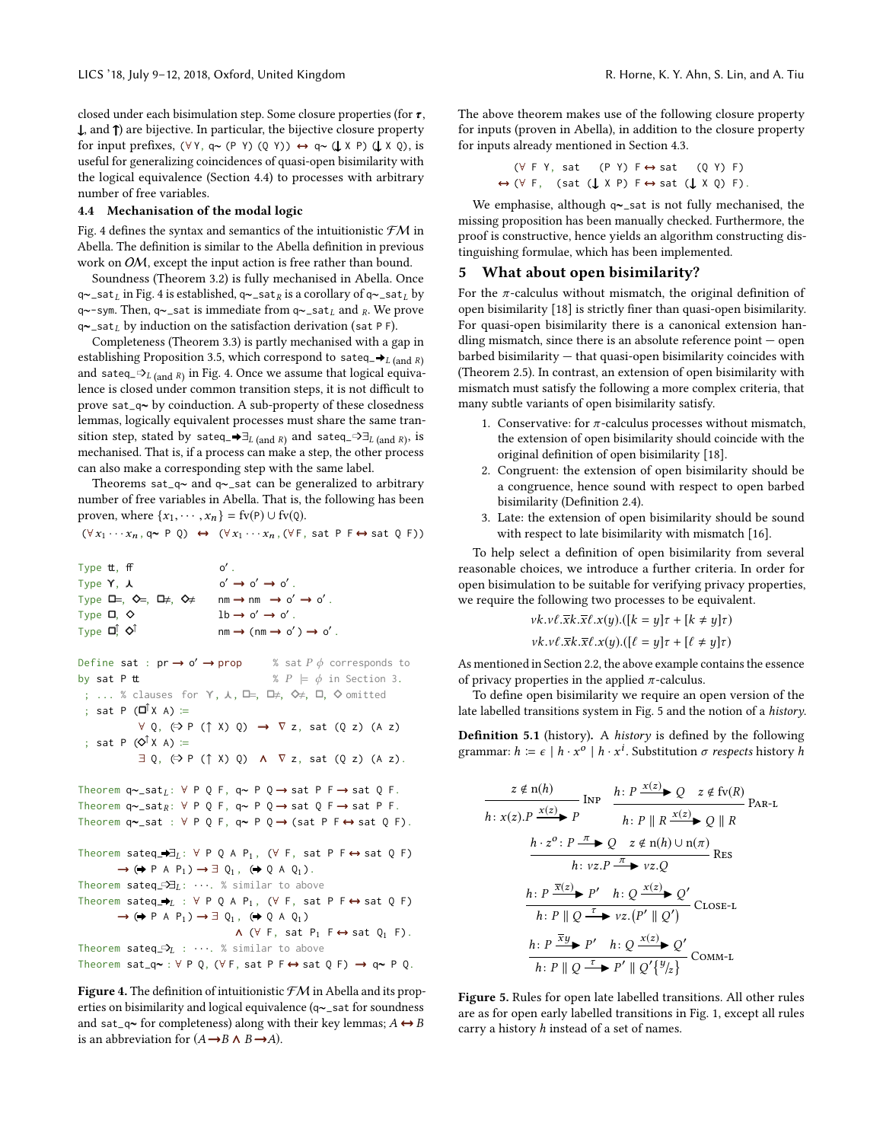closed under each bisimulation step. Some closure properties (for  $\tau$ ,  $\downarrow$ , and  $\uparrow$ ) are bijective. In particular, the bijective closure property for input prefixes,  $(\forall Y, q \sim (P Y) (Q Y)) \leftrightarrow q \sim (\downarrow X P) (\downarrow X Q)$ , is useful for generalizing coincidences of quasi-open bisimilarity with the logical equivalence (Section [4.4\)](#page-7-1) to processes with arbitrary number of free variables.

# <span id="page-7-1"></span>4.4 Mechanisation of the modal logic

Fig. [4](#page-7-2) defines the syntax and semantics of the intuitionistic  $\mathcal{FM}$  in Abella. The definition is similar to the Abella definition in previous work on OM, except the input action is free rather than bound.

Soundness (Theorem [3.2\)](#page-4-3) is fully mechanised in Abella. Once q∼\_sat<sub>L</sub> in Fig. [4](#page-7-2) is established, q∼\_sat<sub>R</sub> is a corollary of q∼\_sat<sub>L</sub> by q∼-sym. Then, q∼\_sat is immediate from q∼\_sat<sub>L</sub> and <sub>R</sub>. We prove q∼\_sat<sub>L</sub> by induction on the satisfaction derivation (sat P F).

Completeness (Theorem [3.3\)](#page-4-4) is partly mechanised with a gap in establishing Proposition [3.5,](#page-4-2) which correspond to sateq\_ $\rightarrow$ <sub>L (and R)</sub> and sateq\_ $\infty_L$  (and R) in Fig. [4.](#page-7-2) Once we assume that logical equivalence is closed under common transition steps, it is not difficult to prove sat\_q∼ by coinduction. A sub-property of these closedness lemmas, logically equivalent processes must share the same transition step, stated by sateq\_ $\rightarrow \exists_{L \text{ (and } R)}$  and sateq\_ $\Rightarrow \exists_{L \text{ (and } R)}$ , is mechanised. That is, if a process can make a step, the other process can also make a corresponding step with the same label.

Theorems sat\_q∼ and q∼\_sat can be generalized to arbitrary number of free variables in Abella. That is, the following has been proven, where  $\{x_1, \dots, x_n\} = \text{fv}(P) \cup \text{fv}(Q)$ .

 $(\forall x_1 \cdots x_n, q \sim P \ Q) \leftrightarrow (\forall x_1 \cdots x_n, (\forall F, \text{ sat } P \ F \leftrightarrow \text{ sat } Q \ F))$ 

<span id="page-7-2"></span>

| Type <b>t</b> , <b>ff</b> | റ′.                                                   |
|---------------------------|-------------------------------------------------------|
| Type Y. 人                 | $o' \rightarrow o' \rightarrow o'$ .                  |
| Туре Љ=, �=, Љ≠, �≠       | $nm \rightarrow nm \rightarrow o' \rightarrow o'$ .   |
| Туре <b>□</b> , ◇         | $1b \rightarrow o' \rightarrow o'$ .                  |
| Type <b>□</b> , ◇Î        | $nm \rightarrow (nm \rightarrow o') \rightarrow o'$ . |

Define sat :  $pr \rightarrow o' \rightarrow prop$ % sat  $P \phi$  corresponds to<br>%  $P \models \phi$  in Section 3. by sat P tt  $\begin{array}{l} \n\mathbf{B} \mathbf{B} \mathbf{C} \n\end{array}$   $\mathbf{B} \times P \models \phi$  in Section 3.<br>
; ... % clauses for  $\Upsilon$ ,  $\lambda$ ,  $\square$ ,  $\square$ ,  $\diamond$ ,  $\square$ ,  $\diamond$  omitted ; sat P  $(\Box^{\uparrow} X A) :=$  $\forall Q, (\Rightarrow P (\uparrow X) Q) \rightarrow \nabla z$ , sat  $(Q z) (A z)$ ; sat P  $(\bigcirc^{\uparrow} X A)$  :=  $\exists Q, (\exists P (\uparrow X) Q) \land \nabla z, \text{ sat } (Q z) (\text{A } z).$ 

Theorem q~\_sat<sub>L</sub>:  $\forall P Q F$ , q~  $P Q \rightarrow$  sat  $P F \rightarrow$  sat Q F. Theorem q~\_sat<sub>R</sub>: ∀ P Q F, q~ P Q → sat Q F → sat P F. Theorem q∼\_sat : ∀ P Q F, q∼ P Q → (sat P F ↔ sat Q F).

Theorem `sateq`—`∃L: 
$$
\forall P Q A P_1
$$
, ( $\forall F$ , sat  $P F \leftrightarrow sat Q F$ )`

\n→ (⇒  $P A P_1$ ) →  $\exists Q_1$ , (⇒  $Q A Q_1$ ).

\nTheorem `sateq`—`∃L:` …. % similar to above

\nTheorem `sateq`—`∗L:` ∨  $P Q A P_1$ , ( $\forall F$ , sat  $P F \leftrightarrow sat Q F$ )

\n→ (⇒  $P A P_1$ ) →  $\exists Q_1$ , (⇒  $Q A Q_1$ )

\n∧ (∀  $F$ , sat  $P_1 F \leftrightarrow sat Q_1 F$ ).

\nTheorem `sateq`—`∗L:` …. % similar to above

\nTheorem `sat_q~` ∶  $\forall P Q$ , ( $\forall F$ , sat  $P F \leftrightarrow sat Q F$ ) →  $q \sim P Q$ .

Figure 4. The definition of intuitionistic  $f\mathcal{M}$  in Abella and its properties on bisimilarity and logical equivalence (q∼\_sat for soundness and sat\_q∼ for completeness) along with their key lemmas;  $A \leftrightarrow B$ is an abbreviation for  $(A \rightarrow B \land B \rightarrow A)$ .

The above theorem makes use of the following closure property for inputs (proven in Abella), in addition to the closure property for inputs already mentioned in Section [4.3.](#page-6-1)

> (∀ F Y, sat (P Y) F ↔ sat (Q Y) F) ↔ (∀ F, (sat (↓ X P) F ↔ sat (↓ X Q) F).

We emphasise, although q∼\_sat is not fully mechanised, the missing proposition has been manually checked. Furthermore, the proof is constructive, hence yields an algorithm constructing distinguishing formulae, which has been implemented.

#### <span id="page-7-0"></span>5 What about open bisimilarity?

For the  $\pi$ -calculus without mismatch, the original definition of open bisimilarity [\[18\]](#page-9-3) is strictly finer than quasi-open bisimilarity. For quasi-open bisimilarity there is a canonical extension handling mismatch, since there is an absolute reference point — open barbed bisimilarity — that quasi-open bisimilarity coincides with (Theorem [2.5\)](#page-3-2). In contrast, an extension of open bisimilarity with mismatch must satisfy the following a more complex criteria, that many subtle variants of open bisimilarity satisfy.

- 1. Conservative: for  $\pi$ -calculus processes without mismatch, the extension of open bisimilarity should coincide with the original definition of open bisimilarity [\[18\]](#page-9-3).
- 2. Congruent: the extension of open bisimilarity should be a congruence, hence sound with respect to open barbed bisimilarity (Definition [2.4\)](#page-3-3).
- 3. Late: the extension of open bisimilarity should be sound with respect to late bisimilarity with mismatch [\[16\]](#page-9-11).

To help select a definition of open bisimilarity from several reasonable choices, we introduce a further criteria. In order for open bisimulation to be suitable for verifying privacy properties, we require the following two processes to be equivalent.

$$
vk.v\ell.\overline{x}k.\overline{x}\ell.x(y).([k = y]\tau + [k \neq y]\tau)
$$

$$
vk.v\ell.\overline{x}k.\overline{x}\ell.x(y).([l = y]\tau + [l \neq y]\tau)
$$
As mentioned in Section 2.2. the above example contains the essence

of privacy properties in the applied  $\pi$ -calculus.

To define open bisimilarity we require an open version of the late labelled transitions system in Fig. [5](#page-7-3) and the notion of a history.

Definition 5.1 (history). A history is defined by the following grammar:  $h \coloneqq \epsilon \mid h \cdot x^o \mid h \cdot x^i$ . Substitution  $\sigma$  respects history  $h$ 

<span id="page-7-3"></span>
$$
\frac{z \notin n(h)}{h: x(z).P \xrightarrow{x(z)} P} \text{Inp} \quad \frac{h: P \xrightarrow{x(z)} Q \quad z \notin \text{fv}(R)}{h: P \parallel R \xrightarrow{x(z)} Q \parallel R} \text{PAR-L}
$$
\n
$$
\frac{h \cdot z^{\circ} : P \xrightarrow{\pi} Q \quad z \notin n(h) \cup n(\pi)}{h: vz.P \xrightarrow{\pi} vz.Q} \text{Res}
$$
\n
$$
\frac{h: P \xrightarrow{\overline{x(z)}} P' \quad h: Q \xrightarrow{x(z)} Q'}{h: P \parallel Q \xrightarrow{\tau} vz.(P' \parallel Q')} \text{ClosE-L}
$$
\n
$$
\frac{h: P \xrightarrow{\overline{x}y} P' \quad h: Q \xrightarrow{x(z)} Q'}{h: P \parallel Q \xrightarrow{\tau} P' \parallel Q' \{^y/z\}} \text{COMM-L}
$$

Figure 5. Rules for open late labelled transitions. All other rules are as for open early labelled transitions in Fig. [1,](#page-2-0) except all rules carry a history h instead of a set of names.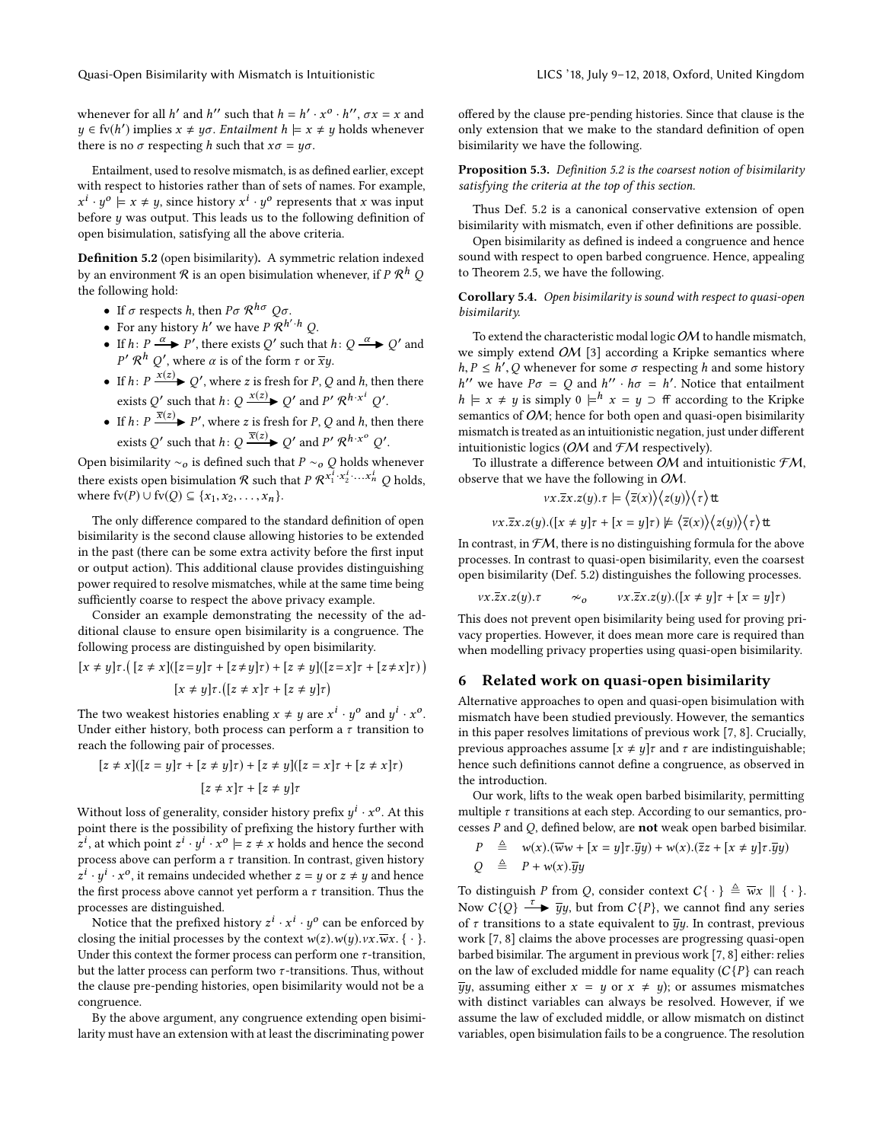whenever for all  $h'$  and  $h''$  such that  $h = h' \cdot x^{\circ} \cdot h''$ ,  $\sigma x = x$  and  $y \in f(v(h'))$  implies  $x \neq y\sigma$ . Entailment  $h \models x \neq y$  holds whenever there is no  $\sigma$  respecting h such that  $x\sigma = y\sigma$ .

Entailment, used to resolve mismatch, is as defined earlier, except with respect to histories rather than of sets of names. For example,  $x^{i} \cdot y^{o} \models x \neq y$ , since history  $x^{i} \cdot y^{o}$  represents that x was input before y was output. This leads us to the following definition of open bisimulation, satisfying all the above criteria.

<span id="page-8-1"></span>Definition 5.2 (open bisimilarity). A symmetric relation indexed by an environment  ${\mathcal R}$  is an open bisimulation whenever, if  $P$   ${\mathcal R}^h$   $Q$ the following hold:

- If  $\sigma$  respects h, then  $P\sigma \mathcal{R}^{h\sigma} \mathcal{Q}\sigma$ .
- For any history  $h'$  we have  $P \mathcal{R}^{h' \cdot h} Q$ .
- If  $h: P \xrightarrow{\alpha} P'$ , there exists Q' such that  $h: Q \xrightarrow{\alpha} Q'$  and  $P'$  *R*<sup>h</sup> *Q'*, where *α* is of the form *τ* or  $\overline{xy}$ .
- If  $h: P \xrightarrow{x(z)} Q'$ , where z is fresh for P, Q and h, then there exists Q' such that  $h: Q \xrightarrow{x(z)} Q'$  and  $P' \mathcal{R}^{h \cdot x^i} Q'$ .
- If  $h: P \frac{\overline{x}(z)}{P'}$  P', where z is fresh for P, Q and h, then there exists Q' such that  $h\colon Q \xrightarrow{\overline{x}(z)} Q'$  and  $P' \mathcal{R}^{h \cdot x^o} Q'.$

Open bisimilarity  $\sim_o$  is defined such that  $P \sim_o Q$  holds whenever there exists open bisimulation  $\mathcal R$  such that  $P \, \mathcal R^{x_1^I \cdot x_2^I \cdot \ldots \cdot x_n^I}$   $Q$  holds, where  $f(v(P) ∪ f(v(Q) ⊆ {x_1, x_2, ..., x_n}.$ 

The only difference compared to the standard definition of open bisimilarity is the second clause allowing histories to be extended in the past (there can be some extra activity before the first input or output action). This additional clause provides distinguishing power required to resolve mismatches, while at the same time being sufficiently coarse to respect the above privacy example.

Consider an example demonstrating the necessity of the additional clause to ensure open bisimilarity is a congruence. The following process are distinguished by open bisimilarity.

$$
[x \neq y]\tau.\big(\big[z \neq x\big] \big([z = y]\tau + [z \neq y]\tau\big) + \big[z \neq y\big] \big([z = x]\tau + [z \neq x]\tau\big)\big)
$$

$$
\big[x \neq y\big]\tau.\big([z \neq x]\tau + [z \neq y]\tau\big)
$$

The two weakest histories enabling  $x \neq y$  are  $x^i \cdot y^o$  and  $y^i \cdot x^o$ . Under either history, both process can perform a  $\tau$  transition to reach the following pair of processes.

$$
[z \neq x]([z = y]\tau + [z \neq y]\tau) + [z \neq y]([z = x]\tau + [z \neq x]\tau)
$$

$$
[z \neq x]\tau + [z \neq y]\tau
$$

Without loss of generality, consider history prefix  $y^i\cdot x^o.$  At this point there is the possibility of prefixing the history further with  $z^i$ , at which point  $z^i \cdot y^i \cdot x^o \models z \neq x$  holds and hence the second process above can perform a  $\tau$  transition. In contrast, given history  $z^i \cdot y^i \cdot x^o$ , it remains undecided whether  $z = y$  or  $z \neq y$  and hence the first process above cannot yet perform a  $\tau$  transition. Thus the processes are distinguished.

Notice that the prefixed history  $z^i \cdot x^i \cdot y^o$  can be enforced by closing the initial processes by the context  $w(z)$ . $w(y)$ . $vx.\overline{w}x$ . { · }. Under this context the former process can perform one  $\tau$ -transition, but the latter process can perform two  $\tau$ -transitions. Thus, without the clause pre-pending histories, open bisimilarity would not be a congruence.

By the above argument, any congruence extending open bisimilarity must have an extension with at least the discriminating power

offered by the clause pre-pending histories. Since that clause is the only extension that we make to the standard definition of open bisimilarity we have the following.

Proposition 5.3. Definition [5.2](#page-8-1) is the coarsest notion of bisimilarity satisfying the criteria at the top of this section.

Thus Def. [5.2](#page-8-1) is a canonical conservative extension of open bisimilarity with mismatch, even if other definitions are possible.

Open bisimilarity as defined is indeed a congruence and hence sound with respect to open barbed congruence. Hence, appealing to Theorem [2.5,](#page-3-2) we have the following.

<span id="page-8-2"></span>Corollary 5.4. Open bisimilarity is sound with respect to quasi-open bisimilarity.

To extend the characteristic modal logic OM to handle mismatch, we simply extend OM [\[3\]](#page-9-7) according a Kripke semantics where  $h, P \leq h', Q$  whenever for some  $\sigma$  respecting h and some history<br>  $h''$  we have  $P\sigma = Q$  and  $h''$ ,  $h\sigma = h'$ . Notice that entailment h'' we have  $P\sigma = Q$  and  $h'' \cdot h\sigma = h'$ . Notice that entailment  $h \models x \neq y$  is simply 0  $\models^h x = y \supset f$  according to the Kripke semantics of *OM*; hence for both open and quasi-open bisimilarity mismatch is treated as an intuitionistic negation, just under different intuitionistic logics ( $OM$  and  $FM$  respectively).

To illustrate a difference between OM and intuitionistic  $FM$ , observe that we have the following in OM.

$$
vx.\overline{z}x.z(y). \tau \models \langle \overline{z}(x) \rangle \langle z(y) \rangle \langle \tau \rangle \text{tt}
$$

$$
vx.\overline{z}x.z(y).([x \neq y]\tau + [x = y]\tau) \not\models \langle \overline{z}(x) \rangle \langle z(y) \rangle \langle \tau \rangle \text{tt}
$$

In contrast, in  $FM$ , there is no distinguishing formula for the above processes. In contrast to quasi-open bisimilarity, even the coarsest open bisimilarity (Def. [5.2\)](#page-8-1) distinguishes the following processes.

$$
vx.\overline{z}x.z(y). \tau \qquad \sim_o \qquad vx.\overline{z}x.z(y). ([x \neq y]\tau + [x = y]\tau)
$$
  
This does not prevent open bisimilarity being used for proving pri-

vacy properties. However, it does mean more care is required than when modelling privacy properties using quasi-open bisimilarity.

#### <span id="page-8-0"></span>6 Related work on quasi-open bisimilarity

Alternative approaches to open and quasi-open bisimulation with mismatch have been studied previously. However, the semantics in this paper resolves limitations of previous work [\[7,](#page-9-9) [8\]](#page-9-10). Crucially, previous approaches assume  $[x \neq y]$  and  $\tau$  are indistinguishable; hence such definitions cannot define a congruence, as observed in the introduction.

Our work, lifts to the weak open barbed bisimilarity, permitting multiple  $\tau$  transitions at each step. According to our semantics, processes  $P$  and  $Q$ , defined below, are **not** weak open barbed bisimilar.

$$
P \triangleq w(x).(\overline{w}w + [x = y]\tau.\overline{y}y) + w(x).(\overline{z}z + [x \neq y]\tau.\overline{y}y)
$$
  

$$
Q \triangleq P + w(x).\overline{y}y
$$

To distinguish P from Q, consider context  $C\{\cdot\} \triangleq \overline{w}x \parallel \{\cdot\}.$ Now  $C\{Q\} \stackrel{\tau}{\longrightarrow} \overline{y}y$ , but from  $C\{P\}$ , we cannot find any series of  $\tau$  transitions to a state equivalent to  $\overline{y}y$ . In contrast, previous work [\[7,](#page-9-9) [8\]](#page-9-10) claims the above processes are progressing quasi-open barbed bisimilar. The argument in previous work [\[7,](#page-9-9) [8\]](#page-9-10) either: relies on the law of excluded middle for name equality  $(C{P}$  can reach  $\overline{y}y$ , assuming either  $x = y$  or  $x \neq y$ ; or assumes mismatches with distinct variables can always be resolved. However, if we assume the law of excluded middle, or allow mismatch on distinct variables, open bisimulation fails to be a congruence. The resolution